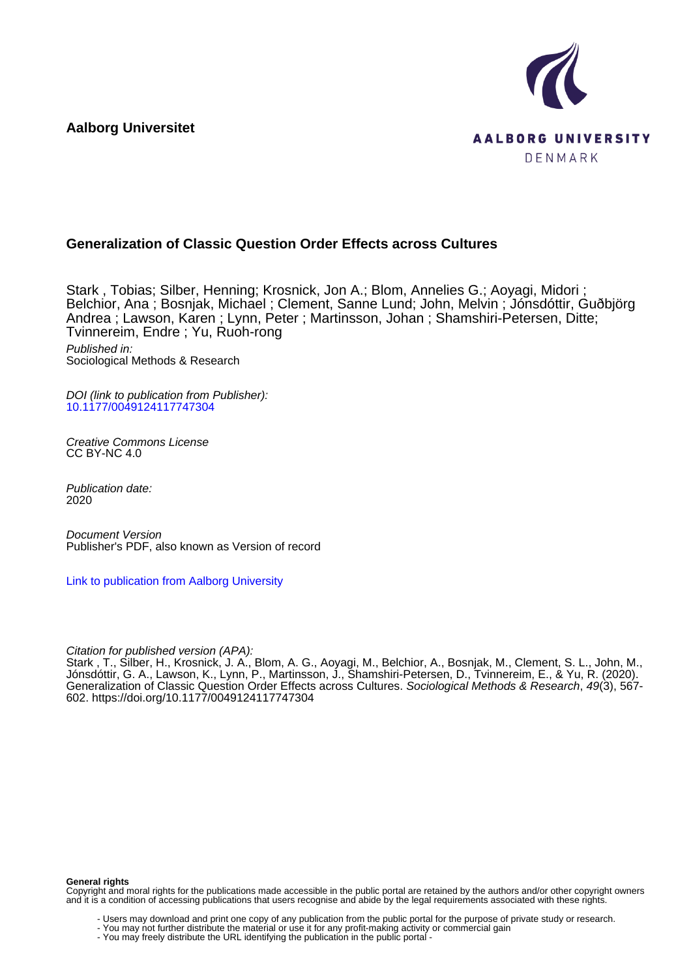**Aalborg Universitet**



# **Generalization of Classic Question Order Effects across Cultures**

Stark , Tobias; Silber, Henning; Krosnick, Jon A.; Blom, Annelies G.; Aoyagi, Midori ; Belchior, Ana ; Bosnjak, Michael ; Clement, Sanne Lund; John, Melvin ; Jónsdóttir, Guðbjörg Andrea ; Lawson, Karen ; Lynn, Peter ; Martinsson, Johan ; Shamshiri-Petersen, Ditte; Tvinnereim, Endre ; Yu, Ruoh-rong Published in: Sociological Methods & Research

DOI (link to publication from Publisher): [10.1177/0049124117747304](https://doi.org/10.1177/0049124117747304)

Creative Commons License CC BY-NC 4.0

Publication date: 2020

Document Version Publisher's PDF, also known as Version of record

[Link to publication from Aalborg University](https://vbn.aau.dk/en/publications/51b3480d-a666-4050-9aa7-93d43c23256b)

Citation for published version (APA):

Stark , T., Silber, H., Krosnick, J. A., Blom, A. G., Aoyagi, M., Belchior, A., Bosnjak, M., Clement, S. L., John, M., Jónsdóttir, G. A., Lawson, K., Lynn, P., Martinsson, J., Shamshiri-Petersen, D., Tvinnereim, E., & Yu, R. (2020). Generalization of Classic Question Order Effects across Cultures. Sociological Methods & Research, 49(3), 567-602.<https://doi.org/10.1177/0049124117747304>

#### **General rights**

Copyright and moral rights for the publications made accessible in the public portal are retained by the authors and/or other copyright owners and it is a condition of accessing publications that users recognise and abide by the legal requirements associated with these rights.

- Users may download and print one copy of any publication from the public portal for the purpose of private study or research.
- You may not further distribute the material or use it for any profit-making activity or commercial gain<br>- You may freely distribute the URL identifying the publication in the public portal -
	-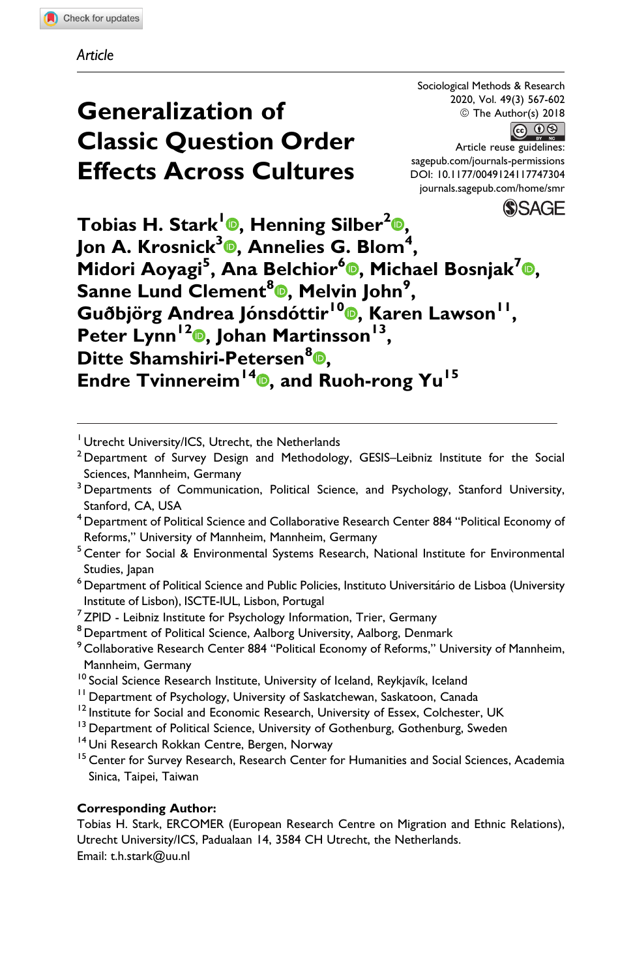# Generalization of Classic Question Order Effects Across Cultures

Sociological Methods & Research 2020, Vol. 49(3) 567-602  $\circ$  The Author(s) 2018



Article reuse guidelines: [sagepub.com/journals-permissions](https://sagepub.com/journals-permissions) [DOI: 10.1177/0049124117747304](https://doi.org/10.1177/0049124117747304) [journals.sagepub.com/home/smr](http://journals.sagepub.com/home/smr)



Tobias H. Stark<sup>1</sup> [,](https://orcid.org/0000-0002-3163-5776) Henning Silber<sup>2</sup><sup>®</sup>, Jon A. Krosnick<sup>3</sup>®, Annelies G. Blom<sup>4</sup>, Midori Aoyagi<sup>5</sup>[,](https://orcid.org/0000-0003-3387-2529) Ana Belchior<sup>6</sup>®, Michael Bosnjak<sup>[7](https://orcid.org/0000-0002-1431-8461)</sup>®, Sanne Lund Clement<sup>8</sup>®[,](https://orcid.org/0000-0002-5480-7622) Melvin John<sup>9</sup>, Guðbjörg Andrea Jónsdóttir<sup>10</sup> [,](https://orcid.org/0000-0002-8852-9560) Karen Lawson<sup>11</sup>, Peter Lynn<sup>12</sup><sup>®</sup>[,](https://orcid.org/0000-0002-3493-5686) Johan Martinsson<sup>13</sup>, Ditte Shamshiri-Petersen<sup>8</sup><sup>®</sup>. Endre Tvinnereim<sup>14</sup><sup>(a)</sup>[,](https://orcid.org/0000-0001-8891-2503) and Ruoh-rong Yu<sup>15</sup>

- <sup>2</sup> Department of Survey Design and Methodology, GESIS-Leibniz Institute for the Social Sciences, Mannheim, Germany
- <sup>3</sup> Departments of Communication, Political Science, and Psychology, Stanford University, Stanford, CA, USA
- <sup>4</sup> Department of Political Science and Collaborative Research Center 884 "Political Economy of Reforms," University of Mannheim, Mannheim, Germany
- <sup>5</sup> Center for Social & Environmental Systems Research, National Institute for Environmental Studies, Japan
- <sup>6</sup> Department of Political Science and Public Policies, Instituto Universitário de Lisboa (University Institute of Lisbon), ISCTE-IUL, Lisbon, Portugal
- $7$  ZPID Leibniz Institute for Psychology Information, Trier, Germany
- <sup>8</sup> Department of Political Science, Aalborg University, Aalborg, Denmark
- <sup>9</sup> Collaborative Research Center 884 "Political Economy of Reforms," University of Mannheim, Mannheim, Germany
- 
- 
- 
- <sup>10</sup> Social Science Research Institute, University of Iceland, Reykjavík, Iceland<br><sup>11</sup> Department of Psychology, University of Saskatchewan, Saskatoon, Canada<br><sup>12</sup> Institute for Social and Economic Research, University of
- 
- Sinica, Taipei, Taiwan

#### Corresponding Author:

Tobias H. Stark, ERCOMER (European Research Centre on Migration and Ethnic Relations), Utrecht University/ICS, Padualaan 14, 3584 CH Utrecht, the Netherlands. Email: t.h.stark@uu.nl

<sup>&</sup>lt;sup>1</sup> Utrecht University/ICS, Utrecht, the Netherlands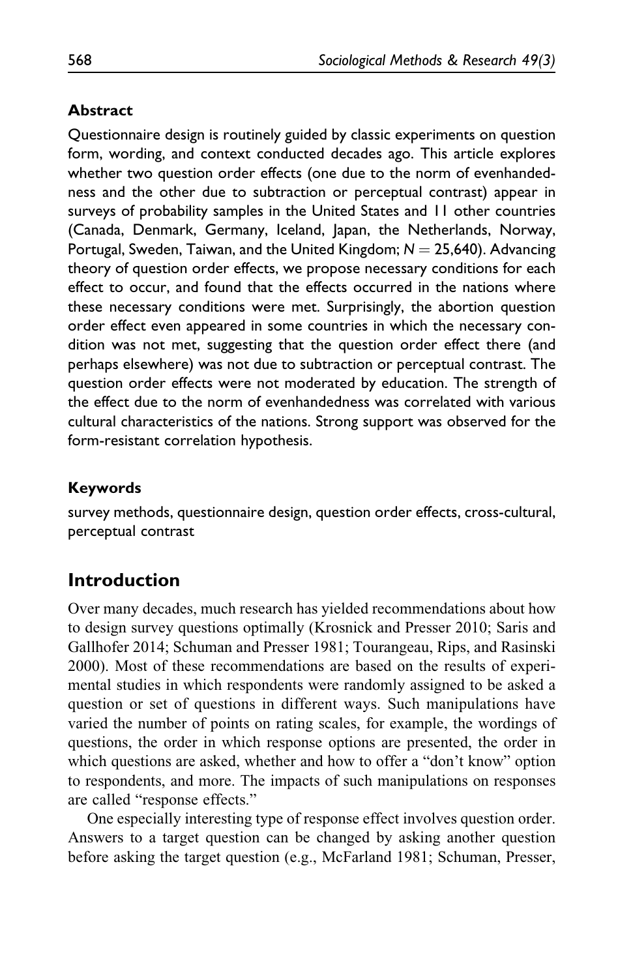#### Abstract

Questionnaire design is routinely guided by classic experiments on question form, wording, and context conducted decades ago. This article explores whether two question order effects (one due to the norm of evenhandedness and the other due to subtraction or perceptual contrast) appear in surveys of probability samples in the United States and 11 other countries (Canada, Denmark, Germany, Iceland, Japan, the Netherlands, Norway, Portugal, Sweden, Taiwan, and the United Kingdom;  $N = 25,640$ ). Advancing theory of question order effects, we propose necessary conditions for each effect to occur, and found that the effects occurred in the nations where these necessary conditions were met. Surprisingly, the abortion question order effect even appeared in some countries in which the necessary condition was not met, suggesting that the question order effect there (and perhaps elsewhere) was not due to subtraction or perceptual contrast. The question order effects were not moderated by education. The strength of the effect due to the norm of evenhandedness was correlated with various cultural characteristics of the nations. Strong support was observed for the form-resistant correlation hypothesis.

#### Keywords

survey methods, questionnaire design, question order effects, cross-cultural, perceptual contrast

# Introduction

Over many decades, much research has yielded recommendations about how to design survey questions optimally (Krosnick and Presser 2010; Saris and Gallhofer 2014; Schuman and Presser 1981; Tourangeau, Rips, and Rasinski 2000). Most of these recommendations are based on the results of experimental studies in which respondents were randomly assigned to be asked a question or set of questions in different ways. Such manipulations have varied the number of points on rating scales, for example, the wordings of questions, the order in which response options are presented, the order in which questions are asked, whether and how to offer a "don't know" option to respondents, and more. The impacts of such manipulations on responses are called "response effects."

One especially interesting type of response effect involves question order. Answers to a target question can be changed by asking another question before asking the target question (e.g., McFarland 1981; Schuman, Presser,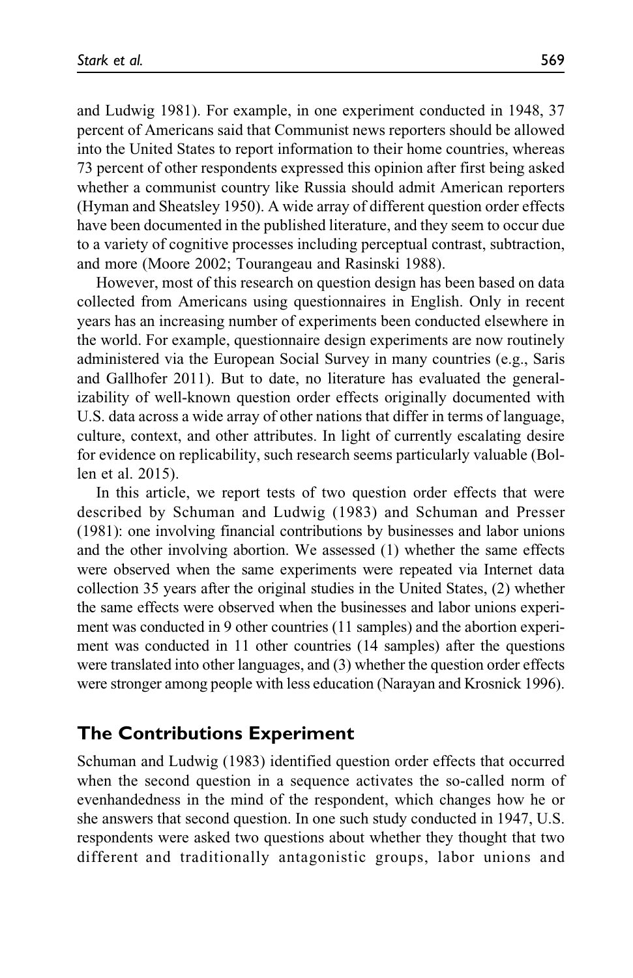and Ludwig 1981). For example, in one experiment conducted in 1948, 37 percent of Americans said that Communist news reporters should be allowed into the United States to report information to their home countries, whereas 73 percent of other respondents expressed this opinion after first being asked whether a communist country like Russia should admit American reporters (Hyman and Sheatsley 1950). A wide array of different question order effects have been documented in the published literature, and they seem to occur due to a variety of cognitive processes including perceptual contrast, subtraction, and more (Moore 2002; Tourangeau and Rasinski 1988).

However, most of this research on question design has been based on data collected from Americans using questionnaires in English. Only in recent years has an increasing number of experiments been conducted elsewhere in the world. For example, questionnaire design experiments are now routinely administered via the European Social Survey in many countries (e.g., Saris and Gallhofer 2011). But to date, no literature has evaluated the generalizability of well-known question order effects originally documented with U.S. data across a wide array of other nations that differ in terms of language, culture, context, and other attributes. In light of currently escalating desire for evidence on replicability, such research seems particularly valuable (Bollen et al. 2015).

In this article, we report tests of two question order effects that were described by Schuman and Ludwig (1983) and Schuman and Presser (1981): one involving financial contributions by businesses and labor unions and the other involving abortion. We assessed (1) whether the same effects were observed when the same experiments were repeated via Internet data collection 35 years after the original studies in the United States, (2) whether the same effects were observed when the businesses and labor unions experiment was conducted in 9 other countries (11 samples) and the abortion experiment was conducted in 11 other countries (14 samples) after the questions were translated into other languages, and (3) whether the question order effects were stronger among people with less education (Narayan and Krosnick 1996).

## The Contributions Experiment

Schuman and Ludwig (1983) identified question order effects that occurred when the second question in a sequence activates the so-called norm of evenhandedness in the mind of the respondent, which changes how he or she answers that second question. In one such study conducted in 1947, U.S. respondents were asked two questions about whether they thought that two different and traditionally antagonistic groups, labor unions and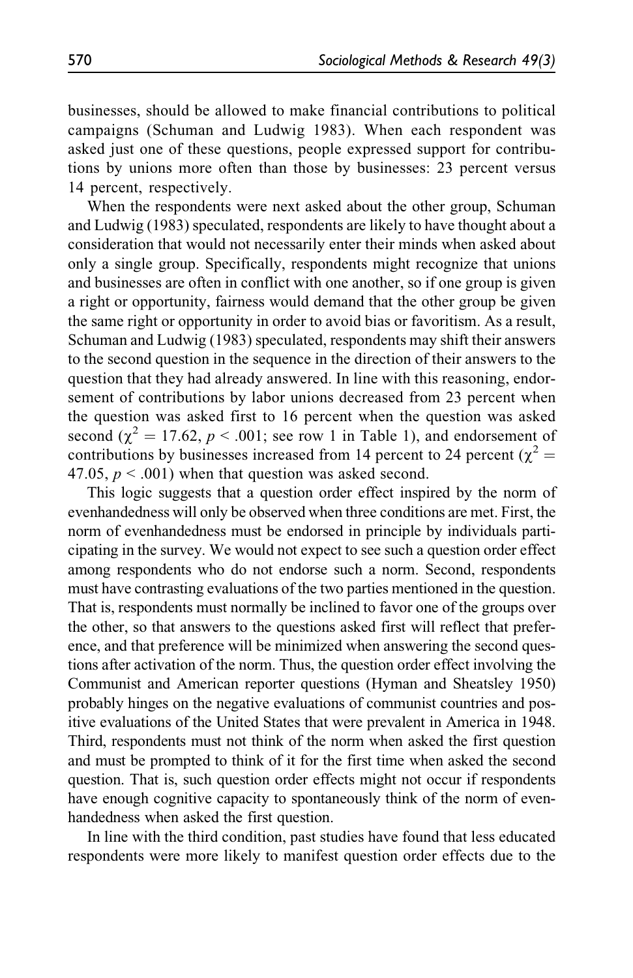businesses, should be allowed to make financial contributions to political campaigns (Schuman and Ludwig 1983). When each respondent was asked just one of these questions, people expressed support for contributions by unions more often than those by businesses: 23 percent versus 14 percent, respectively.

When the respondents were next asked about the other group, Schuman and Ludwig (1983) speculated, respondents are likely to have thought about a consideration that would not necessarily enter their minds when asked about only a single group. Specifically, respondents might recognize that unions and businesses are often in conflict with one another, so if one group is given a right or opportunity, fairness would demand that the other group be given the same right or opportunity in order to avoid bias or favoritism. As a result, Schuman and Ludwig (1983) speculated, respondents may shift their answers to the second question in the sequence in the direction of their answers to the question that they had already answered. In line with this reasoning, endorsement of contributions by labor unions decreased from 23 percent when the question was asked first to 16 percent when the question was asked second ( $\chi^2 = 17.62$ ,  $p < .001$ ; see row 1 in Table 1), and endorsement of contributions by businesses increased from 14 percent to 24 percent ( $\chi^2$  = 47.05,  $p < .001$ ) when that question was asked second.

This logic suggests that a question order effect inspired by the norm of evenhandedness will only be observed when three conditions are met. First, the norm of evenhandedness must be endorsed in principle by individuals participating in the survey. We would not expect to see such a question order effect among respondents who do not endorse such a norm. Second, respondents must have contrasting evaluations of the two parties mentioned in the question. That is, respondents must normally be inclined to favor one of the groups over the other, so that answers to the questions asked first will reflect that preference, and that preference will be minimized when answering the second questions after activation of the norm. Thus, the question order effect involving the Communist and American reporter questions (Hyman and Sheatsley 1950) probably hinges on the negative evaluations of communist countries and positive evaluations of the United States that were prevalent in America in 1948. Third, respondents must not think of the norm when asked the first question and must be prompted to think of it for the first time when asked the second question. That is, such question order effects might not occur if respondents have enough cognitive capacity to spontaneously think of the norm of evenhandedness when asked the first question.

In line with the third condition, past studies have found that less educated respondents were more likely to manifest question order effects due to the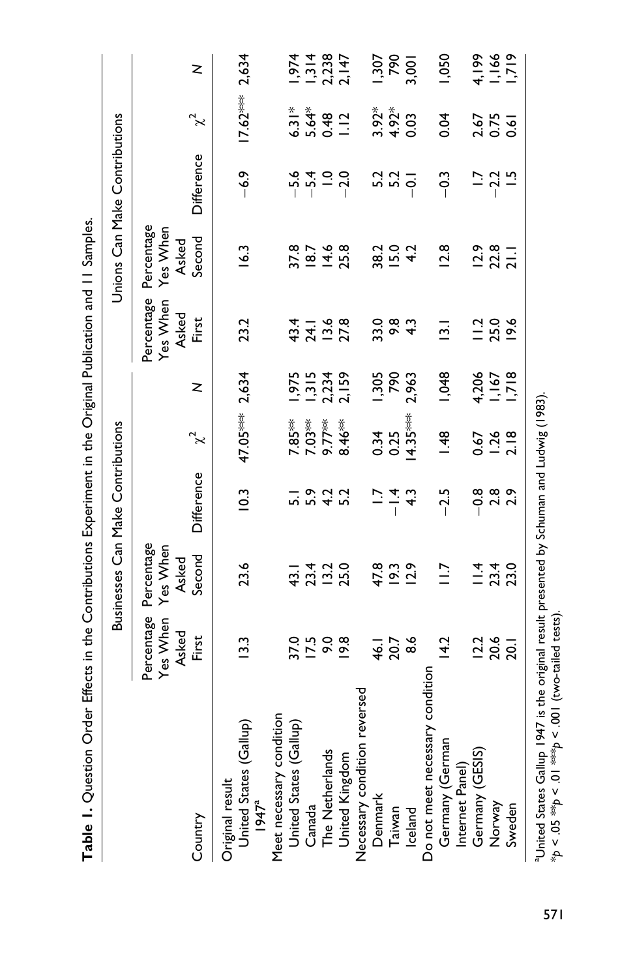|                                                       |                                          | Businesses Can Make Contributions         |                                   |                            |                             |                                          |                                           | Unions Can Make Contributions |                        |                                                |
|-------------------------------------------------------|------------------------------------------|-------------------------------------------|-----------------------------------|----------------------------|-----------------------------|------------------------------------------|-------------------------------------------|-------------------------------|------------------------|------------------------------------------------|
| Country                                               | Percentage<br>Yes When<br>Asked<br>First | Percentage<br>Yes When<br>Second<br>Asked | Difference                        | $x^2$                      | z                           | Percentage<br>Yes When<br>Asked<br>First | Percentage<br>Yes When<br>Second<br>Asked | Difference                    | $x^2$                  | z                                              |
| United States (Gallup)<br>Original result<br>$1947^a$ | $\frac{23}{2}$                           | 23.6                                      | $\frac{3}{2}$                     | 47.05*** 2.634             |                             | 23.2                                     | $\frac{16.3}{2}$                          | $-6.9$                        | $17.62***$ 2,634       |                                                |
| Meet necessary condition<br>United States (Gallup)    |                                          |                                           |                                   |                            |                             |                                          |                                           |                               |                        |                                                |
| Canada                                                | 37.5<br>I 7.5                            | 1 1 1 2 2<br>4 2 1 2 2<br>4 2 1 2         | $\frac{1}{5}$ .9                  | 7.85**<br>7.03**<br>9.77** | $1,975$<br>$-315$<br>$2,34$ | 4 1 1 2 8<br>4 7 1 2 8<br>4 7 1 2        | 32 14 15<br>20 14 15<br>20 16 17          | ७ + ० ०<br>- ५ − ५<br>- ५ −   | $6.3*$<br>5.648        | $-2322$<br>$-2322$<br>$-232$<br>$-25$<br>$-25$ |
| The Netherlands                                       | 9.0                                      |                                           | 4.2                               |                            |                             |                                          |                                           |                               |                        |                                                |
| United Kingdom                                        | 9.8                                      |                                           |                                   | 8.46**                     | 2,159                       |                                          |                                           |                               | $\frac{2}{1}$          |                                                |
| Necessary condition reversed                          |                                          |                                           |                                   |                            |                             |                                          |                                           |                               |                        |                                                |
| Denmark                                               | 46.1                                     | 47.8                                      |                                   | 0.34                       | 305                         | 33.0                                     |                                           |                               |                        |                                                |
| Taiwan                                                | 20.7                                     |                                           | $\vec{r} = \frac{1}{4}$ $\vec{r}$ | 0.25                       | 790                         | 9.8                                      | 8<br>8 10 11<br>8 11 11                   | $3.3 - 0.1$                   | 3.92*<br>4.92*<br>0.03 | 1,307<br>7,901<br>1,001                        |
| Iceland                                               | $\frac{6}{8}$                            | $\frac{19.3}{2.9}$                        |                                   | $4.35***$                  | 2,963                       | 43                                       |                                           |                               |                        |                                                |
| Do not meet necessary condition                       |                                          |                                           |                                   |                            |                             |                                          |                                           |                               |                        |                                                |
| Germany (German                                       | $\frac{14}{1}$                           | $\frac{1}{2}$                             | $-2.5$                            | $\frac{4}{3}$              | 1,048                       | $\overline{2}$                           | 12.8                                      | $-0.3$                        | 0.04                   | 050                                            |
| Internet Panel)                                       |                                          |                                           |                                   |                            |                             |                                          |                                           |                               |                        |                                                |
| Germany (GESIS)                                       | 12.4<br>12.6<br>12.01                    |                                           | $\frac{8}{1}$                     | 0.57<br>0.21 8<br>2.18     | 4,206<br>1,167              | 1.<br>25.0                               | <u>ា</u><br>2 ដ<br>2 ដ                    |                               | 255<br>255<br>20       | $\frac{41,86}{1,719}$                          |
| Norway                                                |                                          |                                           | $2.8$<br>2.9                      |                            |                             |                                          |                                           | 17<br>17 בן<br>17 ב           |                        |                                                |
| Sweden                                                |                                          |                                           |                                   |                            | 718                         | 19.6                                     |                                           |                               |                        |                                                |
|                                                       |                                          |                                           |                                   |                            |                             |                                          |                                           |                               |                        |                                                |

Table 1. Question Order Effects in the Contributions Experiment in the Original Publication and 11 Samples. Table 1. Question Order Effects in the Contributions Experiment in the Original Publication and 11 Samples.

°United States Gallup 1947 is the original result presented by Schuman and Ludwig (1983).<br>\*p < .05 \*\*p < .01 \*\*\*p < .001 (two-tailed tests). aUnited States Gallup 1947 is the original result presented by Schuman and Ludwig (1983).  $*p < .05$   $*sp < .01$   $*^{*sp}p < .001$  (two-tailed tests).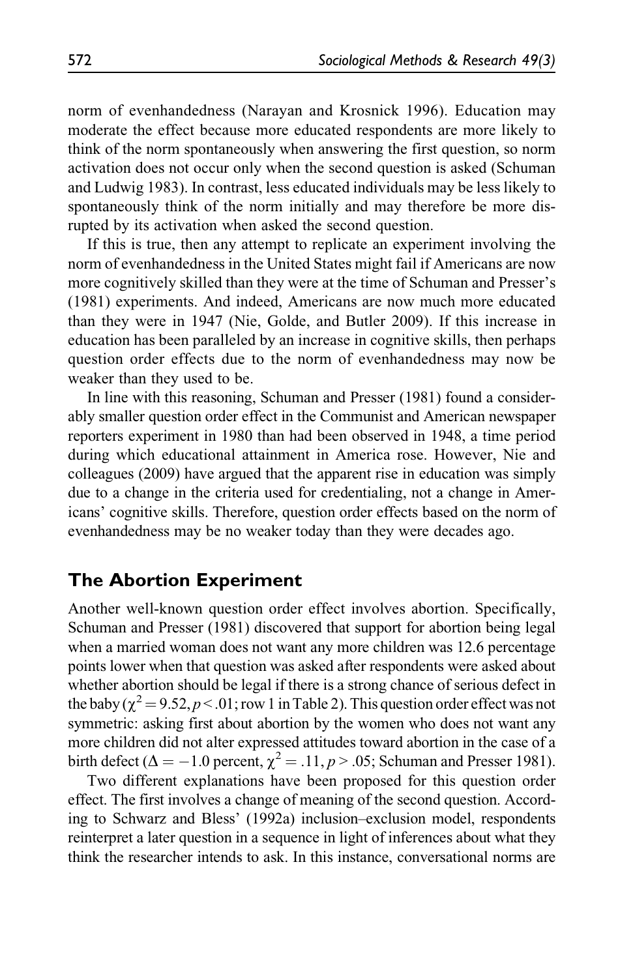norm of evenhandedness (Narayan and Krosnick 1996). Education may moderate the effect because more educated respondents are more likely to think of the norm spontaneously when answering the first question, so norm activation does not occur only when the second question is asked (Schuman and Ludwig 1983). In contrast, less educated individuals may be less likely to spontaneously think of the norm initially and may therefore be more disrupted by its activation when asked the second question.

If this is true, then any attempt to replicate an experiment involving the norm of evenhandedness in the United States might fail if Americans are now more cognitively skilled than they were at the time of Schuman and Presser's (1981) experiments. And indeed, Americans are now much more educated than they were in 1947 (Nie, Golde, and Butler 2009). If this increase in education has been paralleled by an increase in cognitive skills, then perhaps question order effects due to the norm of evenhandedness may now be weaker than they used to be.

In line with this reasoning, Schuman and Presser (1981) found a considerably smaller question order effect in the Communist and American newspaper reporters experiment in 1980 than had been observed in 1948, a time period during which educational attainment in America rose. However, Nie and colleagues (2009) have argued that the apparent rise in education was simply due to a change in the criteria used for credentialing, not a change in Americans' cognitive skills. Therefore, question order effects based on the norm of evenhandedness may be no weaker today than they were decades ago.

## The Abortion Experiment

Another well-known question order effect involves abortion. Specifically, Schuman and Presser (1981) discovered that support for abortion being legal when a married woman does not want any more children was 12.6 percentage points lower when that question was asked after respondents were asked about whether abortion should be legal if there is a strong chance of serious defect in the baby ( $\chi^2$  = 9.52, p < .01; row 1 in Table 2). This question order effect was not symmetric: asking first about abortion by the women who does not want any more children did not alter expressed attitudes toward abortion in the case of a birth defect ( $\Delta = -1.0$  percent,  $\chi^2 = .11$ ,  $p > .05$ ; Schuman and Presser 1981).

Two different explanations have been proposed for this question order effect. The first involves a change of meaning of the second question. According to Schwarz and Bless' (1992a) inclusion–exclusion model, respondents reinterpret a later question in a sequence in light of inferences about what they think the researcher intends to ask. In this instance, conversational norms are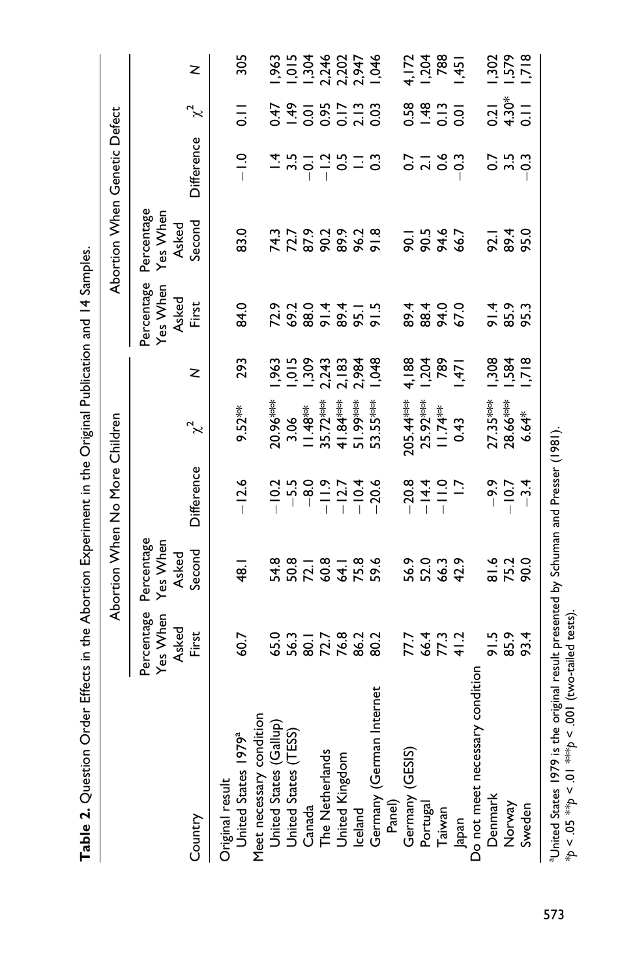|                                                                                                                                                       |                                                 | Abortion When No More Children            |                               |                                    |                    |                                          | Abortion When Genetic Defect              |                                                                                                                                                                                       |                                                                                                                     |                                                               |
|-------------------------------------------------------------------------------------------------------------------------------------------------------|-------------------------------------------------|-------------------------------------------|-------------------------------|------------------------------------|--------------------|------------------------------------------|-------------------------------------------|---------------------------------------------------------------------------------------------------------------------------------------------------------------------------------------|---------------------------------------------------------------------------------------------------------------------|---------------------------------------------------------------|
| Country                                                                                                                                               | Percentage<br><b>Yes When</b><br>Asked<br>First | Percentage<br>Yes When<br>Second<br>Asked | Difference                    | $x^2$                              | z                  | Yes When<br>Percentage<br>Asked<br>First | Percentage<br>Yes When<br>Second<br>Asked | Difference                                                                                                                                                                            | $\chi^2$                                                                                                            | z                                                             |
| United States 1979 <sup>a</sup><br>Original result                                                                                                    | 60.7                                            | $\frac{1}{48}$                            | $-12.6$                       | $9.52**$                           | 293                | 84.0                                     | 83.0                                      | $\frac{1}{1}$                                                                                                                                                                         | $\bar{5}$                                                                                                           | 305                                                           |
| Meet necessary condition<br>United States (Gallup)                                                                                                    |                                                 |                                           |                               | $20.96***$                         | 1,963              |                                          | 74.3                                      |                                                                                                                                                                                       |                                                                                                                     |                                                               |
| United States (TESS)                                                                                                                                  |                                                 | 54.8<br>5.8<br>52.1                       | $-10.2$<br>$-5.5$<br>$-8.0$   | 3.06                               |                    | 23804415<br>2380851                      |                                           | $\frac{4}{1}$ $\frac{1}{2}$ $\frac{1}{2}$ $\frac{1}{2}$ $\frac{1}{2}$ $\frac{1}{2}$ $\frac{1}{2}$ $\frac{1}{2}$ $\frac{1}{2}$ $\frac{1}{2}$ $\frac{1}{2}$ $\frac{1}{2}$ $\frac{1}{2}$ | 4 4 5 5 5 7 3<br>4 4 5 5 5 7 3<br>6 – 6 6 6 7 3 6                                                                   | 1 - 1 2 2 2 2 2 4<br>1 0 1 2 4 2 2 4 2<br>1 - 1 2 2 2 2 2 4 2 |
| Canada                                                                                                                                                |                                                 |                                           |                               | $1.48**$                           | $1,015$<br>$1,309$ |                                          | 72.7<br>87.9                              |                                                                                                                                                                                       |                                                                                                                     |                                                               |
| The Netherlands                                                                                                                                       |                                                 | 60.8<br>64.1<br>59.6                      | $\frac{9}{1}$                 | $35.72***$                         | 2,243              |                                          | 90.2<br>89.9                              |                                                                                                                                                                                       |                                                                                                                     |                                                               |
| United Kingdom                                                                                                                                        |                                                 |                                           | $-12.7$<br>$-10.4$<br>$-20.6$ | 41.84***                           | 2,183              |                                          |                                           |                                                                                                                                                                                       |                                                                                                                     |                                                               |
| celand                                                                                                                                                |                                                 |                                           |                               | 51.99***                           | 2,984              |                                          | 96.2<br>91.8                              |                                                                                                                                                                                       |                                                                                                                     |                                                               |
| Germany (German Internet<br>Panel)                                                                                                                    |                                                 |                                           |                               | 53.55***                           | 1,048              |                                          |                                           |                                                                                                                                                                                       |                                                                                                                     |                                                               |
| Germany (GESIS)                                                                                                                                       |                                                 | 56.9                                      | $-20.8$                       |                                    | 4,188              |                                          |                                           |                                                                                                                                                                                       |                                                                                                                     |                                                               |
| Portugal                                                                                                                                              | 774<br>8472<br>774                              |                                           |                               | 205.44****<br>25.92****<br>II.74** | 1,204              | 4 4 9 9<br>8 8 7 9<br>8 9 7 9            | 90.1<br>90.3<br>90.7                      | $\frac{5}{2}$ $\frac{1}{2}$ $\frac{3}{2}$ $\frac{3}{2}$ $\frac{3}{2}$                                                                                                                 | $0.58$<br>$-0.13$                                                                                                   | $1,288$<br>$-2,88$<br>$-4,58$                                 |
| Taiwan                                                                                                                                                |                                                 | 52.3<br>66.3                              | $-14.4$<br>$-1.0$             |                                    |                    |                                          |                                           |                                                                                                                                                                                       |                                                                                                                     |                                                               |
| Japan                                                                                                                                                 |                                                 |                                           | $\ddot{z}$                    | 0.43                               | 1.471              |                                          |                                           |                                                                                                                                                                                       | $\overline{5}$                                                                                                      |                                                               |
| Do not meet necessary condition                                                                                                                       |                                                 |                                           |                               |                                    |                    |                                          |                                           |                                                                                                                                                                                       |                                                                                                                     |                                                               |
| Denmark                                                                                                                                               | 516                                             | $rac{6}{8}$                               | $-9.9$                        | $27.35***$                         | 1,308              |                                          |                                           | $\overline{0}$                                                                                                                                                                        |                                                                                                                     |                                                               |
| Norway                                                                                                                                                | 85.9                                            | 75.2<br>90.0                              | $-10.7$<br>-3.4               | 28.66***                           |                    |                                          | – <del>។</del><br>ខ្លួន ១<br>ខ្លួន        | $-0.3$                                                                                                                                                                                | $\frac{1}{2}$<br>$\frac{1}{2}$<br>$\frac{1}{2}$<br>$\frac{1}{2}$<br>$\frac{1}{2}$<br>$\frac{1}{2}$<br>$\frac{1}{2}$ | $\frac{1302}{1.718}$                                          |
| Sweden                                                                                                                                                | 93.4                                            |                                           |                               | $6.64*$                            | 1,584              |                                          |                                           |                                                                                                                                                                                       |                                                                                                                     |                                                               |
| a United States 1979 is the original result presented by Schuman and Presser (1981).<br>$4\% > 0.05$ ** $p \le 0$   *** $p < 0.01$ (two-tailed tests) |                                                 |                                           |                               |                                    |                    |                                          |                                           |                                                                                                                                                                                       |                                                                                                                     |                                                               |

**Table 2.** Ouestion Order Effects in the Abortion Experiment in the Original Publication and 14 Samples. Table 2. Question Order Effects in the Abortion Experiment in the Original Publication and 14 Samples.

573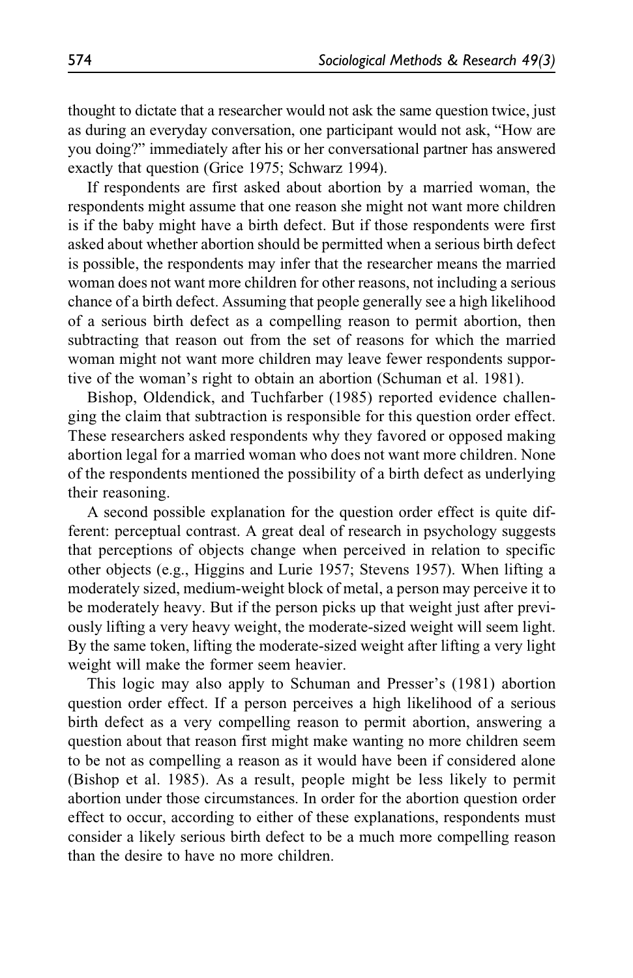thought to dictate that a researcher would not ask the same question twice, just as during an everyday conversation, one participant would not ask, "How are you doing?" immediately after his or her conversational partner has answered exactly that question (Grice 1975; Schwarz 1994).

If respondents are first asked about abortion by a married woman, the respondents might assume that one reason she might not want more children is if the baby might have a birth defect. But if those respondents were first asked about whether abortion should be permitted when a serious birth defect is possible, the respondents may infer that the researcher means the married woman does not want more children for other reasons, not including a serious chance of a birth defect. Assuming that people generally see a high likelihood of a serious birth defect as a compelling reason to permit abortion, then subtracting that reason out from the set of reasons for which the married woman might not want more children may leave fewer respondents supportive of the woman's right to obtain an abortion (Schuman et al. 1981).

Bishop, Oldendick, and Tuchfarber (1985) reported evidence challenging the claim that subtraction is responsible for this question order effect. These researchers asked respondents why they favored or opposed making abortion legal for a married woman who does not want more children. None of the respondents mentioned the possibility of a birth defect as underlying their reasoning.

A second possible explanation for the question order effect is quite different: perceptual contrast. A great deal of research in psychology suggests that perceptions of objects change when perceived in relation to specific other objects (e.g., Higgins and Lurie 1957; Stevens 1957). When lifting a moderately sized, medium-weight block of metal, a person may perceive it to be moderately heavy. But if the person picks up that weight just after previously lifting a very heavy weight, the moderate-sized weight will seem light. By the same token, lifting the moderate-sized weight after lifting a very light weight will make the former seem heavier.

This logic may also apply to Schuman and Presser's (1981) abortion question order effect. If a person perceives a high likelihood of a serious birth defect as a very compelling reason to permit abortion, answering a question about that reason first might make wanting no more children seem to be not as compelling a reason as it would have been if considered alone (Bishop et al. 1985). As a result, people might be less likely to permit abortion under those circumstances. In order for the abortion question order effect to occur, according to either of these explanations, respondents must consider a likely serious birth defect to be a much more compelling reason than the desire to have no more children.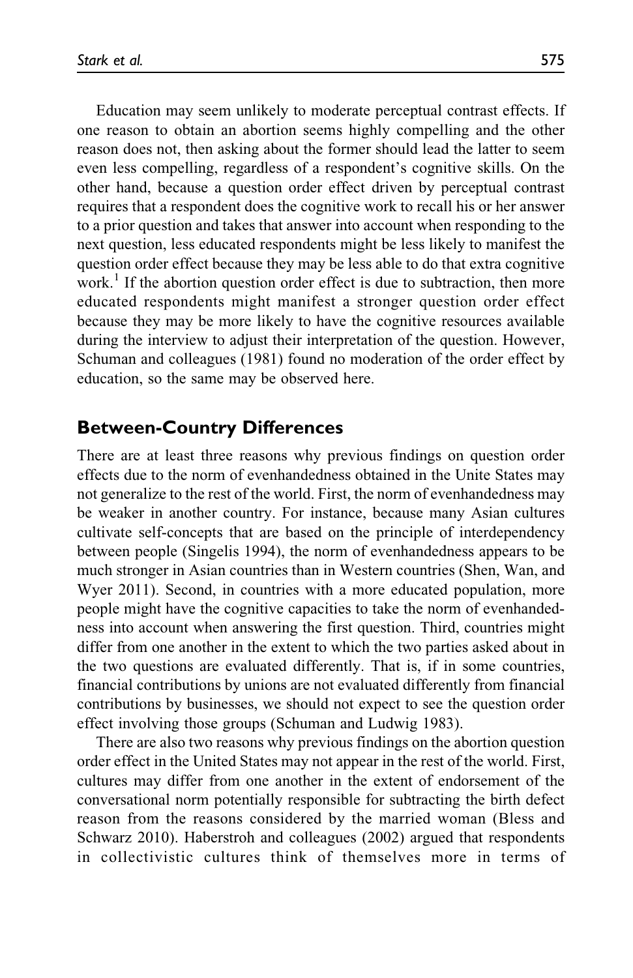Education may seem unlikely to moderate perceptual contrast effects. If one reason to obtain an abortion seems highly compelling and the other reason does not, then asking about the former should lead the latter to seem even less compelling, regardless of a respondent's cognitive skills. On the other hand, because a question order effect driven by perceptual contrast requires that a respondent does the cognitive work to recall his or her answer to a prior question and takes that answer into account when responding to the next question, less educated respondents might be less likely to manifest the question order effect because they may be less able to do that extra cognitive work.<sup>1</sup> If the abortion question order effect is due to subtraction, then more educated respondents might manifest a stronger question order effect because they may be more likely to have the cognitive resources available during the interview to adjust their interpretation of the question. However, Schuman and colleagues (1981) found no moderation of the order effect by education, so the same may be observed here.

### Between-Country Differences

There are at least three reasons why previous findings on question order effects due to the norm of evenhandedness obtained in the Unite States may not generalize to the rest of the world. First, the norm of evenhandedness may be weaker in another country. For instance, because many Asian cultures cultivate self-concepts that are based on the principle of interdependency between people (Singelis 1994), the norm of evenhandedness appears to be much stronger in Asian countries than in Western countries (Shen, Wan, and Wyer 2011). Second, in countries with a more educated population, more people might have the cognitive capacities to take the norm of evenhandedness into account when answering the first question. Third, countries might differ from one another in the extent to which the two parties asked about in the two questions are evaluated differently. That is, if in some countries, financial contributions by unions are not evaluated differently from financial contributions by businesses, we should not expect to see the question order effect involving those groups (Schuman and Ludwig 1983).

There are also two reasons why previous findings on the abortion question order effect in the United States may not appear in the rest of the world. First, cultures may differ from one another in the extent of endorsement of the conversational norm potentially responsible for subtracting the birth defect reason from the reasons considered by the married woman (Bless and Schwarz 2010). Haberstroh and colleagues (2002) argued that respondents in collectivistic cultures think of themselves more in terms of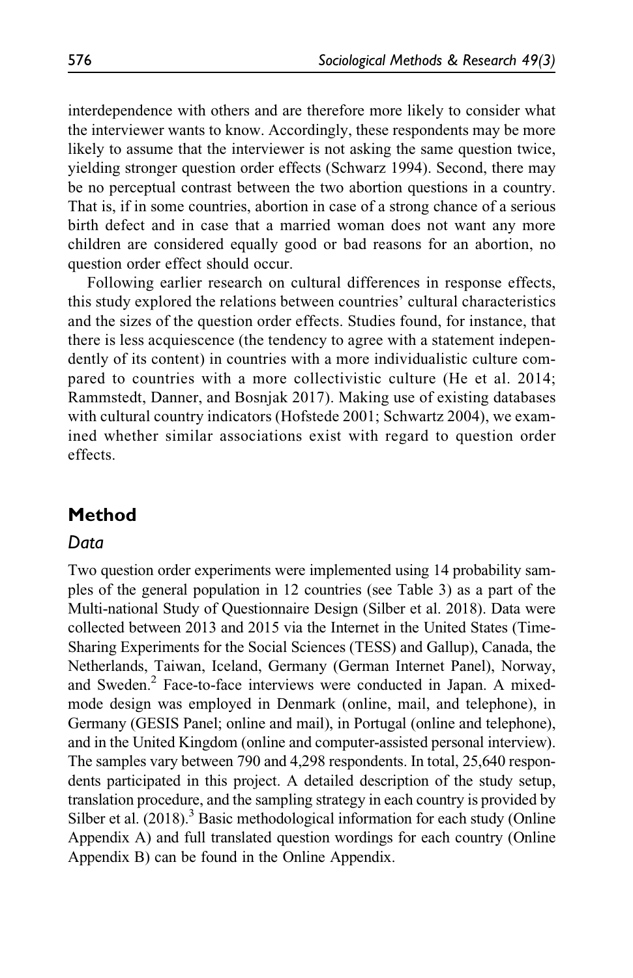interdependence with others and are therefore more likely to consider what the interviewer wants to know. Accordingly, these respondents may be more likely to assume that the interviewer is not asking the same question twice, yielding stronger question order effects (Schwarz 1994). Second, there may be no perceptual contrast between the two abortion questions in a country. That is, if in some countries, abortion in case of a strong chance of a serious birth defect and in case that a married woman does not want any more children are considered equally good or bad reasons for an abortion, no question order effect should occur.

Following earlier research on cultural differences in response effects, this study explored the relations between countries' cultural characteristics and the sizes of the question order effects. Studies found, for instance, that there is less acquiescence (the tendency to agree with a statement independently of its content) in countries with a more individualistic culture compared to countries with a more collectivistic culture (He et al. 2014; Rammstedt, Danner, and Bosnjak 2017). Making use of existing databases with cultural country indicators (Hofstede 2001; Schwartz 2004), we examined whether similar associations exist with regard to question order effects.

## Method

#### Data

Two question order experiments were implemented using 14 probability samples of the general population in 12 countries (see Table 3) as a part of the Multi-national Study of Questionnaire Design (Silber et al. 2018). Data were collected between 2013 and 2015 via the Internet in the United States (Time-Sharing Experiments for the Social Sciences (TESS) and Gallup), Canada, the Netherlands, Taiwan, Iceland, Germany (German Internet Panel), Norway, and Sweden.<sup>2</sup> Face-to-face interviews were conducted in Japan. A mixedmode design was employed in Denmark (online, mail, and telephone), in Germany (GESIS Panel; online and mail), in Portugal (online and telephone), and in the United Kingdom (online and computer-assisted personal interview). The samples vary between 790 and 4,298 respondents. In total, 25,640 respondents participated in this project. A detailed description of the study setup, translation procedure, and the sampling strategy in each country is provided by Silber et al.  $(2018)$ .<sup>3</sup> Basic methodological information for each study (Online Appendix A) and full translated question wordings for each country (Online Appendix B) can be found in the Online Appendix.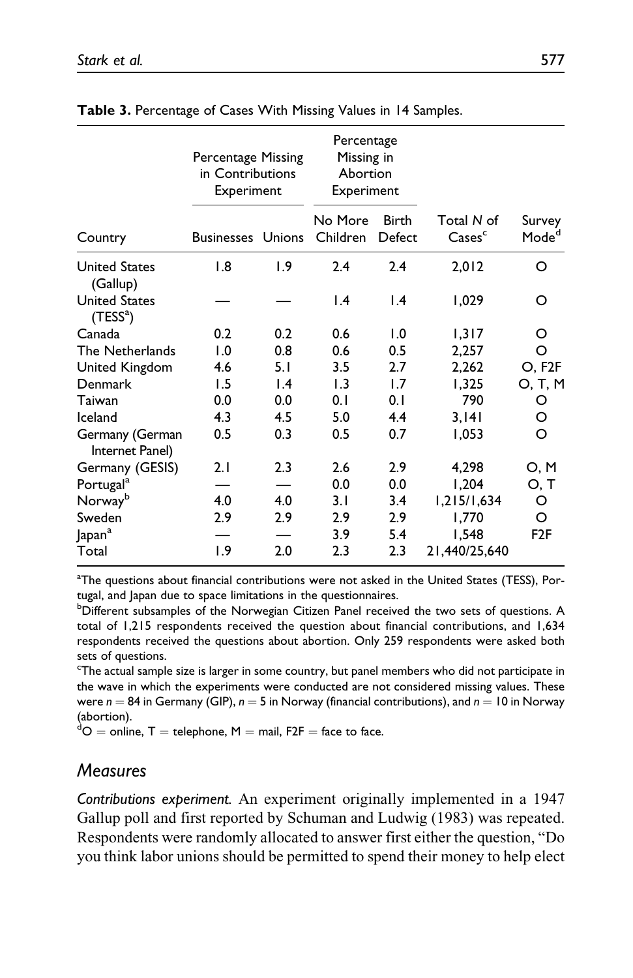|                                              | <b>Percentage Missing</b><br>in Contributions<br>Experiment |                 | Percentage<br>Missing in<br>Abortion<br>Experiment |                        |                                     |                             |
|----------------------------------------------|-------------------------------------------------------------|-----------------|----------------------------------------------------|------------------------|-------------------------------------|-----------------------------|
| Country                                      | <b>Businesses Unions</b>                                    |                 | No More<br>Children                                | <b>Birth</b><br>Defect | Total N of<br>$\text{Case}^{\circ}$ | Survey<br>Mode <sup>d</sup> |
| <b>United States</b><br>(Gallup)             | 1.8                                                         | 1.9             | 2.4                                                | 2.4                    | 2,012                               | O                           |
| <b>United States</b><br>(TESS <sup>a</sup> ) |                                                             |                 | $\mathsf{I}$ .4                                    | $\mathsf{I}$ .4        | 1,029                               | O                           |
| Canada                                       | 0.2                                                         | 0.2             | 0.6                                                | $\overline{1.0}$       | 1,317                               | O                           |
| The Netherlands                              | $\overline{1.0}$                                            | 0.8             | 0.6                                                | 0.5                    | 2,257                               | O                           |
| United Kingdom                               | 4.6                                                         | 5.1             | 3.5                                                | 2.7                    | 2,262                               | O, F <sub>2</sub> F         |
| Denmark                                      | 1.5                                                         | $\mathsf{I}$ .4 | 1.3                                                | 1.7                    | 1,325                               | O, T, M                     |
| Taiwan                                       | 0.0                                                         | 0.0             | 0.1                                                | 0.1                    | 790                                 | O                           |
| Iceland                                      | 4.3                                                         | 4.5             | 5.0                                                | 4.4                    | 3.141                               | O                           |
| Germany (German<br>Internet Panel)           | 0.5                                                         | 0.3             | 0.5                                                | 0.7                    | 1,053                               | O                           |
| Germany (GESIS)                              | 2.1                                                         | 2.3             | 2.6                                                | 2.9                    | 4,298                               | O, M                        |
| Portugal <sup>a</sup>                        |                                                             |                 | 0.0                                                | 0.0                    | 1,204                               | O, T                        |
| Norway <sup>b</sup>                          | 4.0                                                         | 4.0             | 3.1                                                | 3.4                    | 1,215/1,634                         | O                           |
| Sweden                                       | 2.9                                                         | 2.9             | 2.9                                                | 2.9                    | 1,770                               | O                           |
| Japan <sup>a</sup>                           |                                                             |                 | 3.9                                                | 5.4                    | 1,548                               | F <sub>2</sub> F            |
| Total                                        | 1.9                                                         | 2.0             | 2.3                                                | 2.3                    | 21,440/25,640                       |                             |

| Table 3. Percentage of Cases With Missing Values in 14 Samples. |  |  |  |
|-----------------------------------------------------------------|--|--|--|
|                                                                 |  |  |  |

<sup>a</sup>The questions about financial contributions were not asked in the United States (TESS), Portugal, and Japan due to space limitations in the questionnaires.

**Different subsamples of the Norwegian Citizen Panel received the two sets of questions. A** total of 1,215 respondents received the question about financial contributions, and 1,634 respondents received the questions about abortion. Only 259 respondents were asked both sets of questions.

 $\epsilon$ The actual sample size is larger in some country, but panel members who did not participate in the wave in which the experiments were conducted are not considered missing values. These were  $n = 84$  in Germany (GIP),  $n = 5$  in Norway (financial contributions), and  $n = 10$  in Norway (abortion).

 $\rm{d^dO} =$  online, T  $=$  telephone, M  $=$  mail, F2F  $=$  face to face.

## **Measures**

Contributions experiment. An experiment originally implemented in a 1947 Gallup poll and first reported by Schuman and Ludwig (1983) was repeated. Respondents were randomly allocated to answer first either the question, "Do you think labor unions should be permitted to spend their money to help elect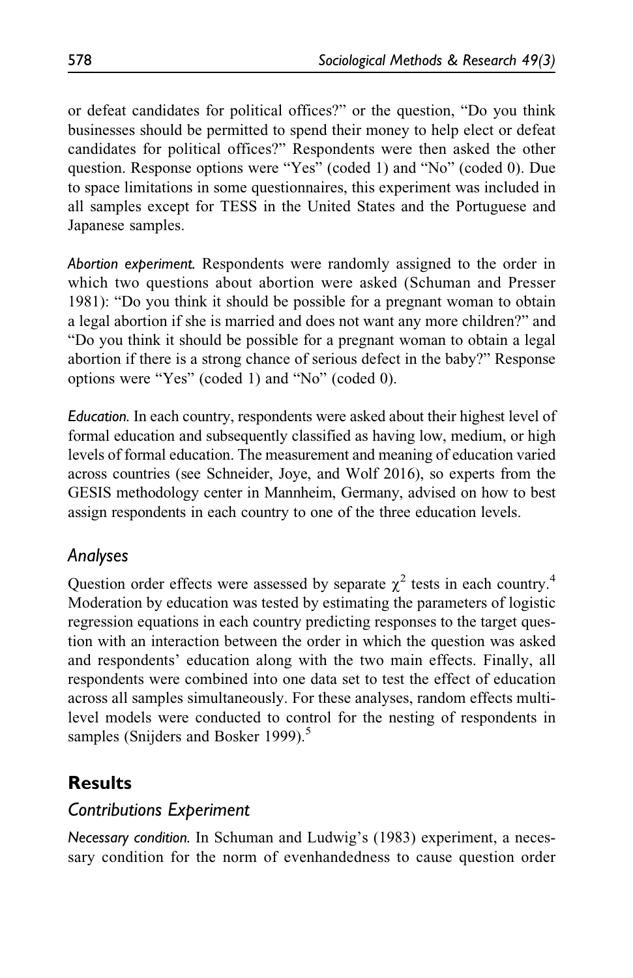or defeat candidates for political offices?" or the question, "Do you think businesses should be permitted to spend their money to help elect or defeat candidates for political offices?" Respondents were then asked the other question. Response options were "Yes" (coded 1) and "No" (coded 0). Due to space limitations in some questionnaires, this experiment was included in all samples except for TESS in the United States and the Portuguese and Japanese samples.

Abortion experiment. Respondents were randomly assigned to the order in which two questions about abortion were asked (Schuman and Presser 1981): "Do you think it should be possible for a pregnant woman to obtain a legal abortion if she is married and does not want any more children?" and "Do you think it should be possible for a pregnant woman to obtain a legal abortion if there is a strong chance of serious defect in the baby?" Response options were "Yes" (coded 1) and "No" (coded 0).

Education. In each country, respondents were asked about their highest level of formal education and subsequently classified as having low, medium, or high levels of formal education. The measurement and meaning of education varied across countries (see Schneider, Joye, and Wolf 2016), so experts from the GESIS methodology center in Mannheim, Germany, advised on how to best assign respondents in each country to one of the three education levels.

## Analyses

Question order effects were assessed by separate  $\chi^2$  tests in each country.<sup>4</sup> Moderation by education was tested by estimating the parameters of logistic regression equations in each country predicting responses to the target question with an interaction between the order in which the question was asked and respondents' education along with the two main effects. Finally, all respondents were combined into one data set to test the effect of education across all samples simultaneously. For these analyses, random effects multilevel models were conducted to control for the nesting of respondents in samples (Snijders and Bosker 1999).<sup>5</sup>

# Results

## Contributions Experiment

Necessary condition. In Schuman and Ludwig's (1983) experiment, a necessary condition for the norm of evenhandedness to cause question order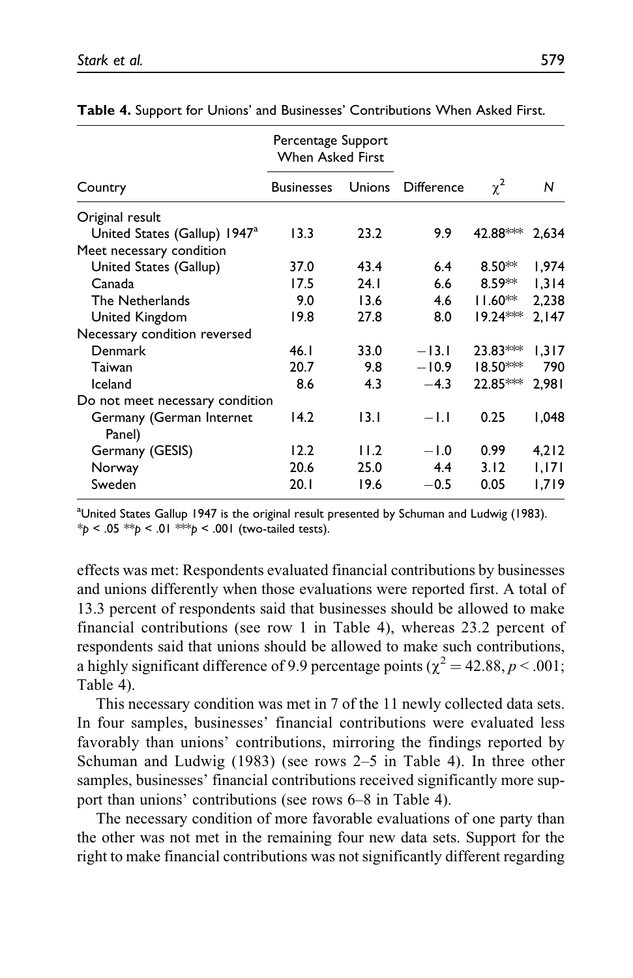|                                          | Percentage Support<br><b>When Asked First</b> |        |                   |            |        |
|------------------------------------------|-----------------------------------------------|--------|-------------------|------------|--------|
| Country                                  | <b>Businesses</b>                             | Unions | <b>Difference</b> | $\chi^2$   | N      |
| Original result                          |                                               |        |                   |            |        |
| United States (Gallup) 1947 <sup>a</sup> | 13.3                                          | 23.2   | 9.9               | 42.88***   | 2,634  |
| Meet necessary condition                 |                                               |        |                   |            |        |
| United States (Gallup)                   | 37.0                                          | 43.4   | 6.4               | $8.50**$   | 1,974  |
| Canada                                   | 17.5                                          | 24.1   | 6.6               | $8.59**$   | 1.314  |
| The Netherlands                          | 9.0                                           | 13.6   | 4.6               | $11.60**$  | 2,238  |
| United Kingdom                           | 19.8                                          | 27.8   | 8.0               | $19.24***$ | 2.147  |
| Necessary condition reversed             |                                               |        |                   |            |        |
| Denmark                                  | 46.1                                          | 33.0   | $-13.1$           | $23.83***$ | 1,317  |
| Taiwan                                   | 20.7                                          | 9.8    | $-10.9$           | 18.50***   | 790    |
| Iceland                                  | 8.6                                           | 4.3    | $-4.3$            | $22.85***$ | 2.981  |
| Do not meet necessary condition          |                                               |        |                   |            |        |
| Germany (German Internet<br>Panel)       | 14.2                                          | 13. I  | $-1.1$            | 0.25       | 048, ا |
| Germany (GESIS)                          | 12.2                                          | 11.2   | $-1.0$            | 0.99       | 4,212  |
| Norway                                   | 20.6                                          | 25.0   | 4.4               | 3.12       | 1,171  |
| Sweden                                   | 20.1                                          | 19.6   | $-0.5$            | 0.05       | 1.719  |

|  |  |  |  | Table 4. Support for Unions' and Businesses' Contributions When Asked First. |  |  |  |
|--|--|--|--|------------------------------------------------------------------------------|--|--|--|
|--|--|--|--|------------------------------------------------------------------------------|--|--|--|

<sup>a</sup>United States Gallup 1947 is the original result presented by Schuman and Ludwig (1983). \*p < .05 \*\*p < .01 \*\*\*p < .001 (two-tailed tests).

effects was met: Respondents evaluated financial contributions by businesses and unions differently when those evaluations were reported first. A total of 13.3 percent of respondents said that businesses should be allowed to make financial contributions (see row 1 in Table 4), whereas 23.2 percent of respondents said that unions should be allowed to make such contributions, a highly significant difference of 9.9 percentage points ( $\gamma^2 = 42.88$ ,  $p < .001$ ; Table 4).

This necessary condition was met in 7 of the 11 newly collected data sets. In four samples, businesses' financial contributions were evaluated less favorably than unions' contributions, mirroring the findings reported by Schuman and Ludwig (1983) (see rows 2–5 in Table 4). In three other samples, businesses' financial contributions received significantly more support than unions' contributions (see rows 6–8 in Table 4).

The necessary condition of more favorable evaluations of one party than the other was not met in the remaining four new data sets. Support for the right to make financial contributions was not significantly different regarding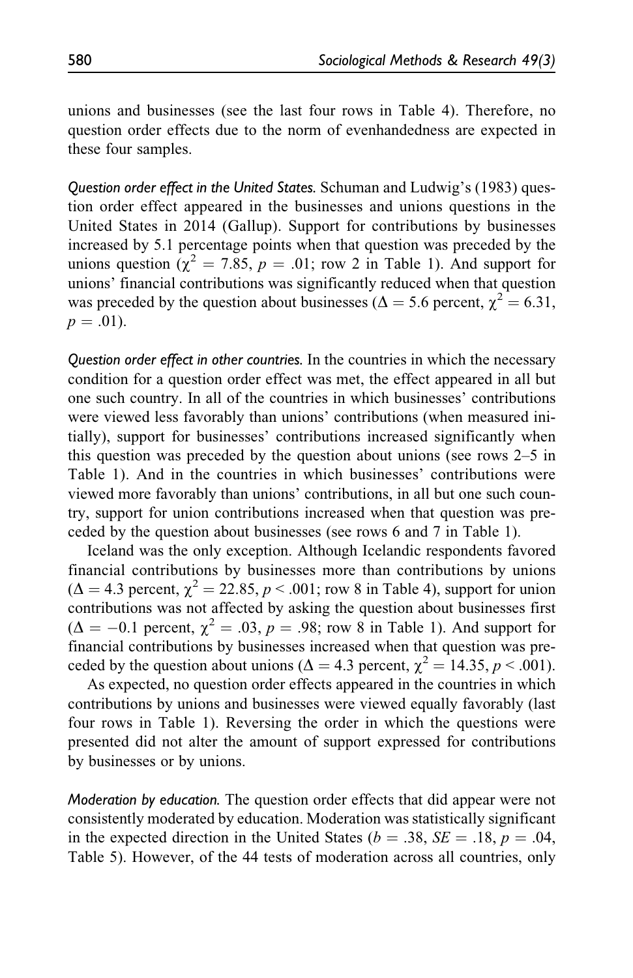unions and businesses (see the last four rows in Table 4). Therefore, no question order effects due to the norm of evenhandedness are expected in these four samples.

Question order effect in the United States. Schuman and Ludwig's (1983) question order effect appeared in the businesses and unions questions in the United States in 2014 (Gallup). Support for contributions by businesses increased by 5.1 percentage points when that question was preceded by the unions question ( $\chi^2 = 7.85$ ,  $p = .01$ ; row 2 in Table 1). And support for unions' financial contributions was significantly reduced when that question was preceded by the question about businesses ( $\Delta = 5.6$  percent,  $\gamma^2 = 6.31$ ,  $p = .01$ ).

Question order effect in other countries. In the countries in which the necessary condition for a question order effect was met, the effect appeared in all but one such country. In all of the countries in which businesses' contributions were viewed less favorably than unions' contributions (when measured initially), support for businesses' contributions increased significantly when this question was preceded by the question about unions (see rows 2–5 in Table 1). And in the countries in which businesses' contributions were viewed more favorably than unions' contributions, in all but one such country, support for union contributions increased when that question was preceded by the question about businesses (see rows 6 and 7 in Table 1).

Iceland was the only exception. Although Icelandic respondents favored financial contributions by businesses more than contributions by unions  $(\Delta = 4.3$  percent,  $\gamma^2 = 22.85$ ,  $p < .001$ ; row 8 in Table 4), support for union contributions was not affected by asking the question about businesses first  $(\Delta = -0.1$  percent,  $\chi^2 = .03$ ,  $p = .98$ ; row 8 in Table 1). And support for financial contributions by businesses increased when that question was preceded by the question about unions ( $\Delta = 4.3$  percent,  $\chi^2 = 14.35$ ,  $p < .001$ ).

As expected, no question order effects appeared in the countries in which contributions by unions and businesses were viewed equally favorably (last four rows in Table 1). Reversing the order in which the questions were presented did not alter the amount of support expressed for contributions by businesses or by unions.

Moderation by education. The question order effects that did appear were not consistently moderated by education. Moderation was statistically significant in the expected direction in the United States ( $b = .38$ ,  $SE = .18$ ,  $p = .04$ , Table 5). However, of the 44 tests of moderation across all countries, only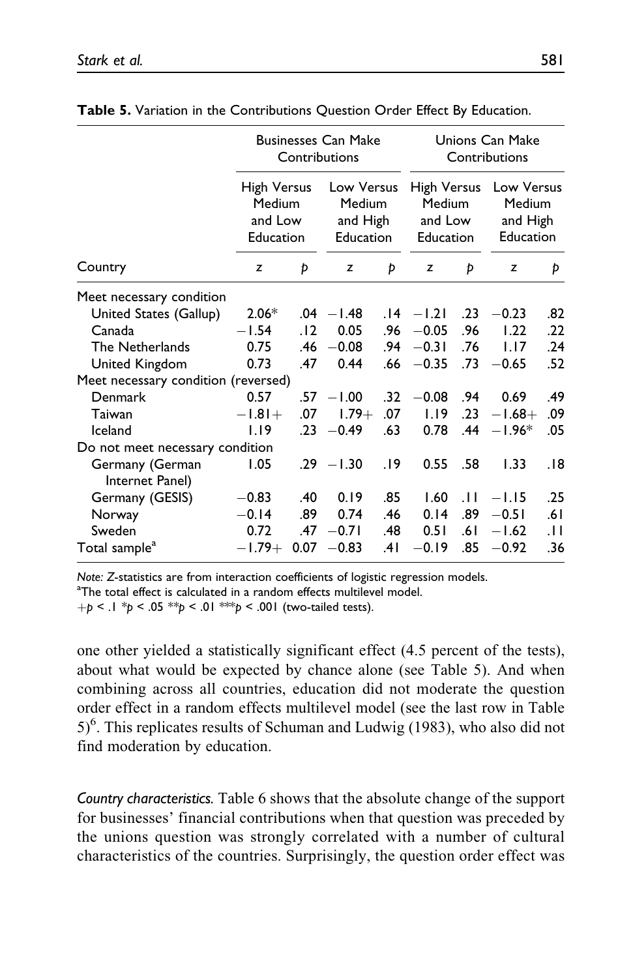|                                     |                                               |      | <b>Businesses Can Make</b><br>Contributions   |     |                                               |     | Unions Can Make<br>Contributions              |       |
|-------------------------------------|-----------------------------------------------|------|-----------------------------------------------|-----|-----------------------------------------------|-----|-----------------------------------------------|-------|
|                                     | High Versus<br>Medium<br>and Low<br>Education |      | Low Versus<br>Medium<br>and High<br>Education |     | High Versus<br>Medium<br>and Low<br>Education |     | Low Versus<br>Medium<br>and High<br>Education |       |
| Country                             | z                                             | Þ    | z                                             | Þ   | z                                             | Þ   | z                                             | Þ     |
| Meet necessary condition            |                                               |      |                                               |     |                                               |     |                                               |       |
| United States (Gallup)              | $2.06*$                                       |      | $.04 - 1.48$                                  | 14. | $-1.21$                                       | .23 | $-0.23$                                       | .82   |
| Canada                              | $-1.54$                                       | . 12 | 0.05                                          | .96 | $-0.05$                                       | .96 | 1.22                                          | .22   |
| The Netherlands                     | 0.75                                          | .46  | $-0.08$                                       | .94 | $-0.31$                                       | .76 | 1.17                                          | .24   |
| United Kingdom                      | 0.73                                          | .47  | 0.44                                          | .66 | $-0.35$                                       | .73 | $-0.65$                                       | .52   |
| Meet necessary condition (reversed) |                                               |      |                                               |     |                                               |     |                                               |       |
| Denmark                             | 0.57                                          | .57  | $-1.00$                                       | .32 | $-0.08$                                       | .94 | 0.69                                          | .49   |
| Taiwan                              | $-1.81+$                                      | .07  | $1.79+$                                       | .07 | 1.19                                          | .23 | $-1.68+$                                      | .09   |
| Iceland                             | 1.19                                          | .23  | $-0.49$                                       | .63 | 0.78                                          | .44 | $-1.96*$                                      | .05   |
| Do not meet necessary condition     |                                               |      |                                               |     |                                               |     |                                               |       |
| Germany (German<br>Internet Panel)  | 1.05                                          |      | $.29 - 1.30$                                  | 19. | 0.55                                          | .58 | 1.33                                          | .18   |
| Germany (GESIS)                     | $-0.83$                                       | .40  | 0.19                                          | .85 | 1.60                                          | .H  | $-1.15$                                       | .25   |
| Norway                              | $-0.14$                                       | .89  | 0.74                                          | .46 | 0.14                                          | .89 | $-0.51$                                       | .61   |
| Sweden                              | 0.72                                          | .47  | $-0.71$                                       | .48 | 0.51                                          | .61 | $-1.62$                                       | . I I |
| Total sample <sup>a</sup>           | $-1.79+$                                      | 0.07 | $-0.83$                                       | .41 | $-0.19$                                       | .85 | $-0.92$                                       | .36   |

Table 5. Variation in the Contributions Question Order Effect By Education.

Note: Z-statistics are from interaction coefficients of logistic regression models. <sup>a</sup>

<sup>a</sup>The total effect is calculated in a random effects multilevel model.

 $+p < 0.1$  \*p < .05 \*\*p < .01 \*\*p < .001 (two-tailed tests).

one other yielded a statistically significant effect (4.5 percent of the tests), about what would be expected by chance alone (see Table 5). And when combining across all countries, education did not moderate the question order effect in a random effects multilevel model (see the last row in Table  $5)^6$ . This replicates results of Schuman and Ludwig (1983), who also did not find moderation by education.

Country characteristics. Table 6 shows that the absolute change of the support for businesses' financial contributions when that question was preceded by the unions question was strongly correlated with a number of cultural characteristics of the countries. Surprisingly, the question order effect was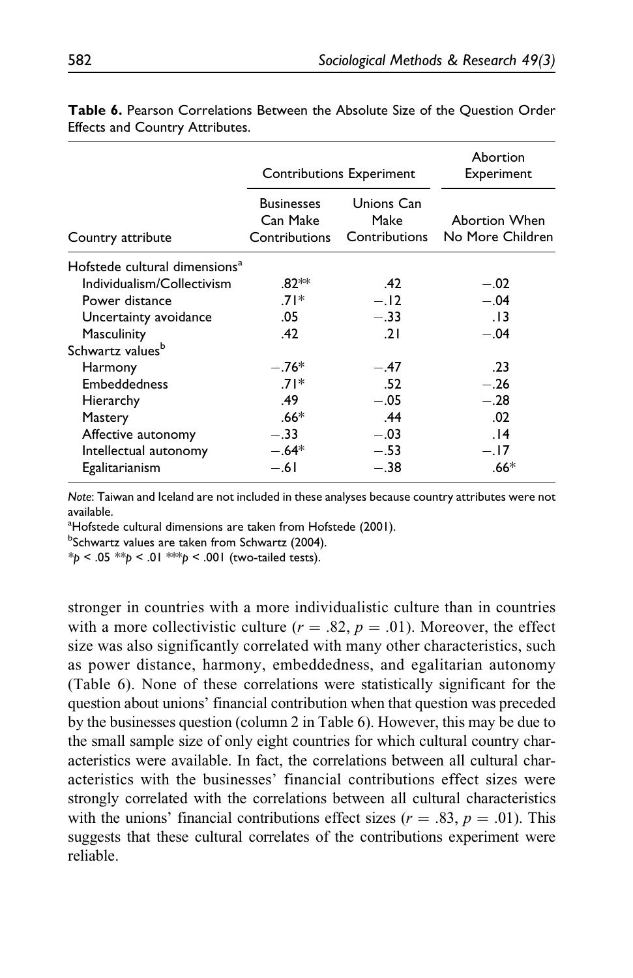|                                           |                                                | <b>Contributions Experiment</b>     | Abortion<br>Experiment                   |
|-------------------------------------------|------------------------------------------------|-------------------------------------|------------------------------------------|
| Country attribute                         | <b>Businesses</b><br>Can Make<br>Contributions | Unions Can<br>Make<br>Contributions | <b>Abortion When</b><br>No More Children |
| Hofstede cultural dimensions <sup>a</sup> |                                                |                                     |                                          |
| Individualism/Collectivism                | .82**                                          | .42                                 | $-.02$                                   |
| Power distance                            | $.71*$                                         | $-.12$                              | $-.04$                                   |
| Uncertainty avoidance                     | .05 <sub>1</sub>                               | $-.33$                              | .13                                      |
| Masculinity                               | .42                                            | .21                                 | $-.04$                                   |
| Schwartz values <sup>b</sup>              |                                                |                                     |                                          |
| Harmony                                   | $-.76*$                                        | $-.47$                              | .23                                      |
| <b>Embeddedness</b>                       | $.71*$                                         | .52                                 | $-.26$                                   |
| Hierarchy                                 | .49                                            | $-.05$                              | $-.28$                                   |
| Mastery                                   | $.66*$                                         | .44                                 | .02                                      |
| Affective autonomy                        | $-.33$                                         | $-.03$                              | .14                                      |
| Intellectual autonomy                     | $-.64*$                                        | $-.53$                              | $-.17$                                   |
| Egalitarianism                            | $-.61$                                         | $-.38$                              | $.66*$                                   |

Table 6. Pearson Correlations Between the Absolute Size of the Question Order Effects and Country Attributes.

Note: Taiwan and Iceland are not included in these analyses because country attributes were not available.

<sup>a</sup>Hofstede cultural dimensions are taken from Hofstede (2001).

<sup>b</sup>Schwartz values are taken from Schwartz (2004).

 $*_{p}$  < .05  $*_{p}$  < .01  $*_{p}$  < .001 (two-tailed tests).

stronger in countries with a more individualistic culture than in countries with a more collectivistic culture ( $r = .82$ ,  $p = .01$ ). Moreover, the effect size was also significantly correlated with many other characteristics, such as power distance, harmony, embeddedness, and egalitarian autonomy (Table 6). None of these correlations were statistically significant for the question about unions' financial contribution when that question was preceded by the businesses question (column 2 in Table 6). However, this may be due to the small sample size of only eight countries for which cultural country characteristics were available. In fact, the correlations between all cultural characteristics with the businesses' financial contributions effect sizes were strongly correlated with the correlations between all cultural characteristics with the unions' financial contributions effect sizes ( $r = .83$ ,  $p = .01$ ). This suggests that these cultural correlates of the contributions experiment were reliable.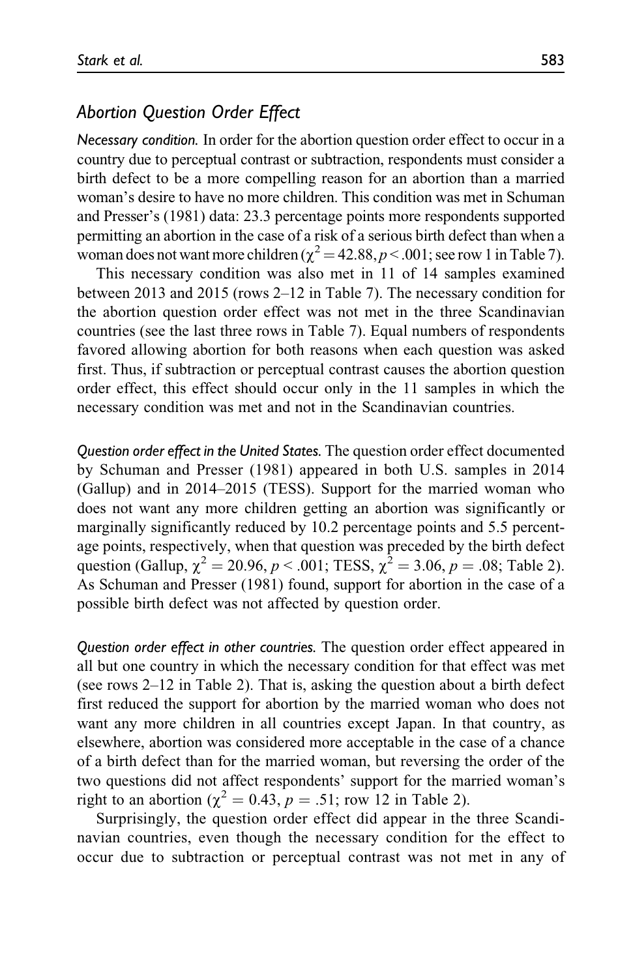## Abortion Question Order Effect

Necessary condition. In order for the abortion question order effect to occur in a country due to perceptual contrast or subtraction, respondents must consider a birth defect to be a more compelling reason for an abortion than a married woman's desire to have no more children. This condition was met in Schuman and Presser's (1981) data: 23.3 percentage points more respondents supported permitting an abortion in the case of a risk of a serious birth defect than when a woman does not want more children ( $\chi^2 = 42.88$ ,  $p < .001$ ; see row 1 in Table 7).

This necessary condition was also met in 11 of 14 samples examined between 2013 and 2015 (rows 2–12 in Table 7). The necessary condition for the abortion question order effect was not met in the three Scandinavian countries (see the last three rows in Table 7). Equal numbers of respondents favored allowing abortion for both reasons when each question was asked first. Thus, if subtraction or perceptual contrast causes the abortion question order effect, this effect should occur only in the 11 samples in which the necessary condition was met and not in the Scandinavian countries.

Question order effect in the United States. The question order effect documented by Schuman and Presser (1981) appeared in both U.S. samples in 2014 (Gallup) and in 2014–2015 (TESS). Support for the married woman who does not want any more children getting an abortion was significantly or marginally significantly reduced by 10.2 percentage points and 5.5 percentage points, respectively, when that question was preceded by the birth defect question (Gallup,  $\chi^2 = 20.96$ ,  $p < .001$ ; TESS,  $\chi^2 = 3.06$ ,  $p = .08$ ; Table 2). As Schuman and Presser (1981) found, support for abortion in the case of a possible birth defect was not affected by question order.

Question order effect in other countries. The question order effect appeared in all but one country in which the necessary condition for that effect was met (see rows 2–12 in Table 2). That is, asking the question about a birth defect first reduced the support for abortion by the married woman who does not want any more children in all countries except Japan. In that country, as elsewhere, abortion was considered more acceptable in the case of a chance of a birth defect than for the married woman, but reversing the order of the two questions did not affect respondents' support for the married woman's right to an abortion ( $\chi^2 = 0.43$ ,  $p = .51$ ; row 12 in Table 2).

Surprisingly, the question order effect did appear in the three Scandinavian countries, even though the necessary condition for the effect to occur due to subtraction or perceptual contrast was not met in any of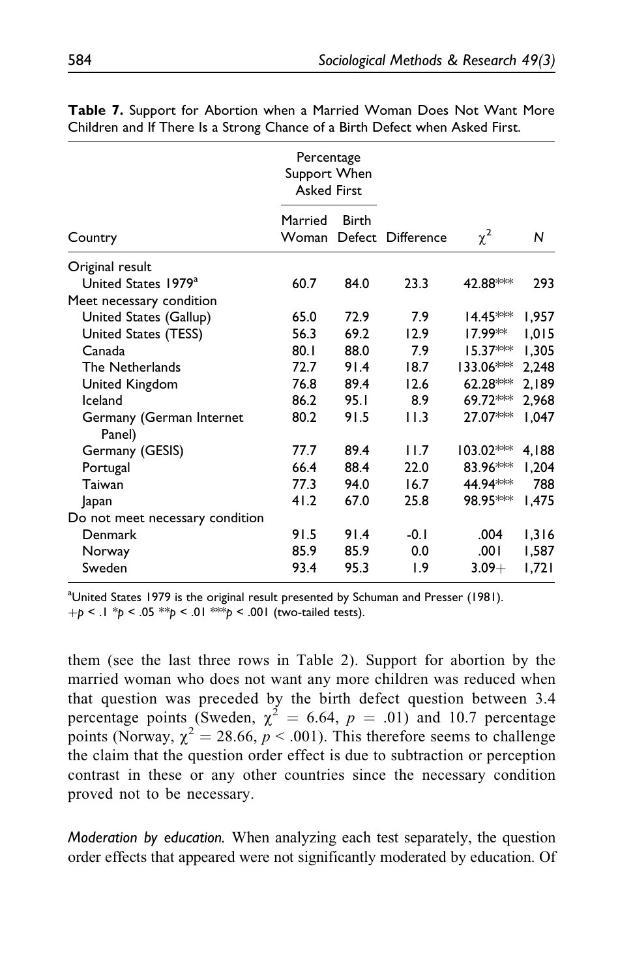|                                    | Percentage<br>Support When<br><b>Asked First</b> |              |                         |             |       |
|------------------------------------|--------------------------------------------------|--------------|-------------------------|-------------|-------|
| Country                            | Married                                          | <b>Birth</b> | Woman Defect Difference | $\chi^2$    | N     |
| Original result                    |                                                  |              |                         |             |       |
| United States 1979 <sup>a</sup>    | 60.7                                             | 84.0         | 23.3                    | 42.88***    | 293   |
| Meet necessary condition           |                                                  |              |                         |             |       |
| United States (Gallup)             | 65.0                                             | 72.9         | 7.9                     | $14.45***$  | 1,957 |
| United States (TESS)               | 56.3                                             | 69.2         | 12.9                    | 17.99**     | 1,015 |
| Canada                             | 80.1                                             | 88.0         | 7.9                     | $15.37***$  | 1,305 |
| The Netherlands                    | 72.7                                             | 91.4         | 18.7                    | $133.06***$ | 2,248 |
| United Kingdom                     | 76.8                                             | 89.4         | 12.6                    | $62.28***$  | 2,189 |
| Iceland                            | 86.2                                             | 95.1         | 8.9                     | $69.72***$  | 2,968 |
| Germany (German Internet<br>Panel) | 80.2                                             | 91.5         | 11.3                    | 27.07***    | 1,047 |
| Germany (GESIS)                    | 77.7                                             | 89.4         | 11.7                    | $103.02***$ | 4,188 |
| Portugal                           | 66.4                                             | 88.4         | 22.0                    | $83.96***$  | 1,204 |
| Taiwan                             | 77.3                                             | 94.0         | 16.7                    | 44.94 ***   | 788   |
| Japan                              | 41.2                                             | 67.0         | 25.8                    | 98.95***    | 1,475 |
| Do not meet necessary condition    |                                                  |              |                         |             |       |
| Denmark                            | 91.5                                             | 91.4         | $-0.1$                  | .004        | 1,316 |
| Norway                             | 85.9                                             | 85.9         | 0.0                     | .001        | 1,587 |
| Sweden                             | 93.4                                             | 95.3         | $\overline{1.9}$        | $3.09+$     | 1,721 |

Table 7. Support for Abortion when a Married Woman Does Not Want More Children and If There Is a Strong Chance of a Birth Defect when Asked First.

<sup>a</sup>United States 1979 is the original result presented by Schuman and Presser (1981).  $+p < 0.1 *p < 0.05 *p < 0.01 *p > 0.01$  (two-tailed tests).

them (see the last three rows in Table 2). Support for abortion by the married woman who does not want any more children was reduced when that question was preceded by the birth defect question between 3.4 percentage points (Sweden,  $\chi^2 = 6.64$ ,  $p = .01$ ) and 10.7 percentage points (Norway,  $\chi^2 = 28.66$ ,  $p < .001$ ). This therefore seems to challenge the claim that the question order effect is due to subtraction or perception contrast in these or any other countries since the necessary condition proved not to be necessary.

Moderation by education. When analyzing each test separately, the question order effects that appeared were not significantly moderated by education. Of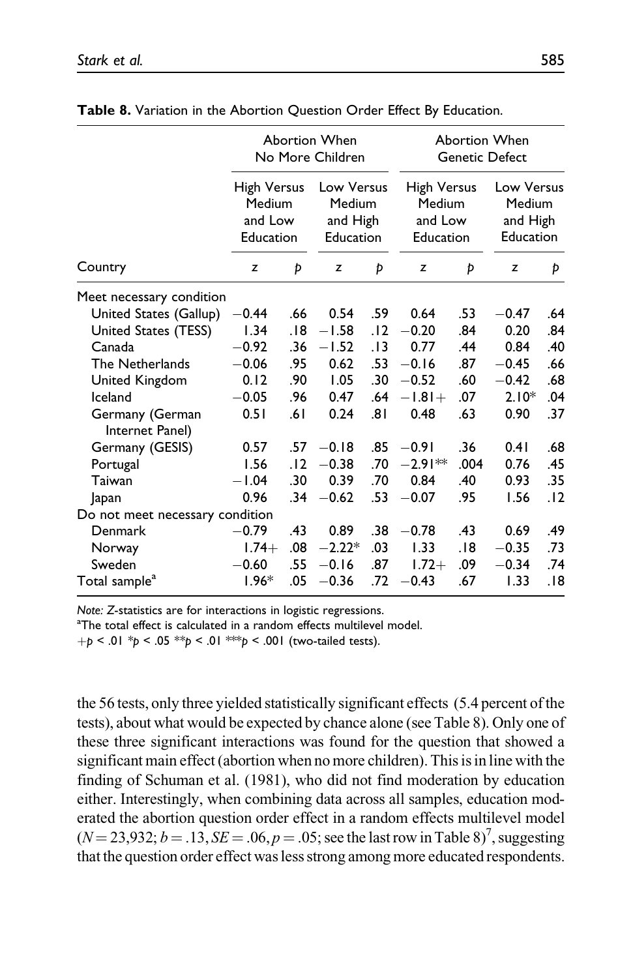|                                    |                                               |      | <b>Abortion When</b><br>No More Children      |      |                                               |      | <b>Abortion When</b><br><b>Genetic Defect</b> |     |
|------------------------------------|-----------------------------------------------|------|-----------------------------------------------|------|-----------------------------------------------|------|-----------------------------------------------|-----|
|                                    | High Versus<br>Medium<br>and Low<br>Education |      | Low Versus<br>Medium<br>and High<br>Education |      | High Versus<br>Medium<br>and Low<br>Education |      | Low Versus<br>Medium<br>and High<br>Education |     |
| Country                            | z                                             | Þ    | z                                             | Þ    | z                                             | Þ    | z                                             | Þ   |
| Meet necessary condition           |                                               |      |                                               |      |                                               |      |                                               |     |
| United States (Gallup)             | $-0.44$                                       | .66  | 0.54                                          | .59  | 0.64                                          | .53  | $-0.47$                                       | .64 |
| United States (TESS)               | 1.34                                          | .18  | $-1.58$                                       | .12  | $-0.20$                                       | .84  | 0.20                                          | .84 |
| Canada                             | $-0.92$                                       | .36  | $-1.52$                                       | . 13 | 0.77                                          | .44  | 0.84                                          | .40 |
| The Netherlands                    | $-0.06$                                       | .95  | 0.62                                          | .53  | $-0.16$                                       | .87  | $-0.45$                                       | .66 |
| United Kingdom                     | 0.12                                          | .90  | 1.05                                          | .30  | $-0.52$                                       | .60  | $-0.42$                                       | .68 |
| Iceland                            | $-0.05$                                       | .96  | 0.47                                          | .64  | $-1.81+$                                      | .07  | $2.10*$                                       | .04 |
| Germany (German<br>Internet Panel) | 0.51                                          | ا 6. | 0.24                                          | 8۱.  | 0.48                                          | .63  | 0.90                                          | .37 |
| Germany (GESIS)                    | 0.57                                          | .57  | $-0.18$                                       | .85  | $-0.91$                                       | .36  | 0.41                                          | .68 |
| Portugal                           | 1.56                                          | .12  | $-0.38$                                       | .70  | $-2.91**$                                     | .004 | 0.76                                          | .45 |
| Taiwan                             | $-1.04$                                       | .30  | 0.39                                          | .70  | 0.84                                          | .40  | 0.93                                          | .35 |
| Japan                              | 0.96                                          | .34  | $-0.62$                                       | .53  | $-0.07$                                       | .95  | 1.56                                          | .12 |
| Do not meet necessary condition    |                                               |      |                                               |      |                                               |      |                                               |     |
| Denmark                            | $-0.79$                                       | .43  | 0.89                                          | .38  | $-0.78$                                       | .43  | 0.69                                          | .49 |
| Norway                             | $1.74+$                                       | .08  | $-2.22*$                                      | .03  | 1.33                                          | 18.  | $-0.35$                                       | .73 |
| Sweden                             | $-0.60$                                       | .55  | $-0.16$                                       | .87  | $1.72+$                                       | .09  | $-0.34$                                       | .74 |
| Total sample <sup>a</sup>          | $1.96*$                                       | .05  | $-0.36$                                       | .72  | $-0.43$                                       | .67  | 1.33                                          | .18 |

Table 8. Variation in the Abortion Question Order Effect By Education.

Note: Z-statistics are for interactions in logistic regressions.

<sup>a</sup>The total effect is calculated in a random effects multilevel model.

 $+p < .01$  \*p < .05 \*\*p < .01 \*\*\*p < .001 (two-tailed tests).

the 56 tests, only three yielded statistically significant effects (5.4 percent of the tests), about what would be expected by chance alone (see Table 8). Only one of these three significant interactions was found for the question that showed a significant main effect (abortion when no more children). This is in line with the finding of Schuman et al. (1981), who did not find moderation by education either. Interestingly, when combining data across all samples, education moderated the abortion question order effect in a random effects multilevel model  $(N = 23,932; b = .13, SE = .06, p = .05;$  see the last row in Table 8)<sup>7</sup>, suggesting that the question order effect was less strong among more educated respondents.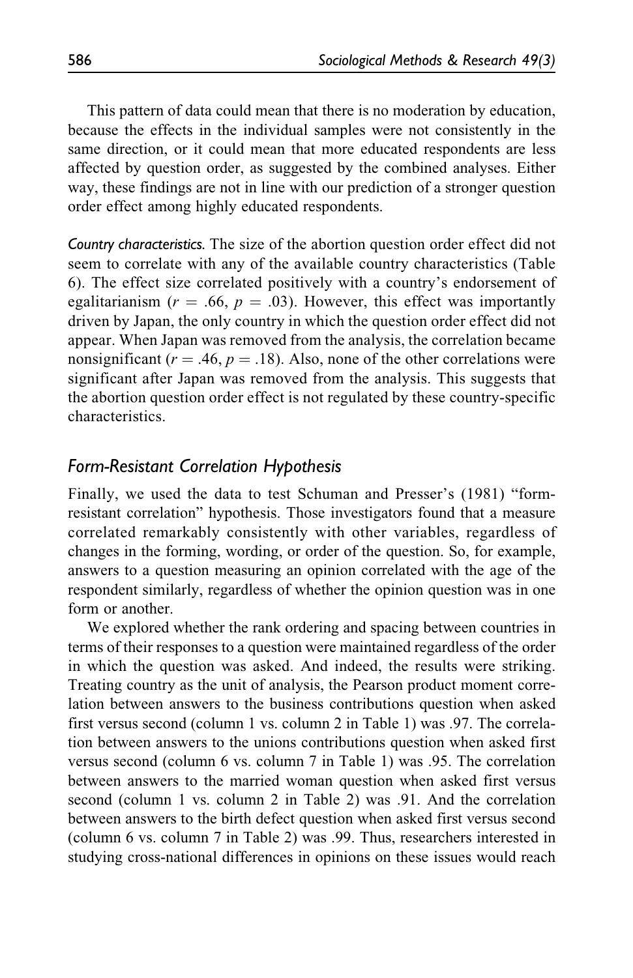This pattern of data could mean that there is no moderation by education, because the effects in the individual samples were not consistently in the same direction, or it could mean that more educated respondents are less affected by question order, as suggested by the combined analyses. Either way, these findings are not in line with our prediction of a stronger question order effect among highly educated respondents.

Country characteristics. The size of the abortion question order effect did not seem to correlate with any of the available country characteristics (Table 6). The effect size correlated positively with a country's endorsement of egalitarianism ( $r = .66$ ,  $p = .03$ ). However, this effect was importantly driven by Japan, the only country in which the question order effect did not appear. When Japan was removed from the analysis, the correlation became nonsignificant ( $r = .46$ ,  $p = .18$ ). Also, none of the other correlations were significant after Japan was removed from the analysis. This suggests that the abortion question order effect is not regulated by these country-specific characteristics.

#### Form-Resistant Correlation Hypothesis

Finally, we used the data to test Schuman and Presser's (1981) "formresistant correlation" hypothesis. Those investigators found that a measure correlated remarkably consistently with other variables, regardless of changes in the forming, wording, or order of the question. So, for example, answers to a question measuring an opinion correlated with the age of the respondent similarly, regardless of whether the opinion question was in one form or another.

We explored whether the rank ordering and spacing between countries in terms of their responses to a question were maintained regardless of the order in which the question was asked. And indeed, the results were striking. Treating country as the unit of analysis, the Pearson product moment correlation between answers to the business contributions question when asked first versus second (column 1 vs. column 2 in Table 1) was .97. The correlation between answers to the unions contributions question when asked first versus second (column 6 vs. column 7 in Table 1) was .95. The correlation between answers to the married woman question when asked first versus second (column 1 vs. column 2 in Table 2) was .91. And the correlation between answers to the birth defect question when asked first versus second (column 6 vs. column 7 in Table 2) was .99. Thus, researchers interested in studying cross-national differences in opinions on these issues would reach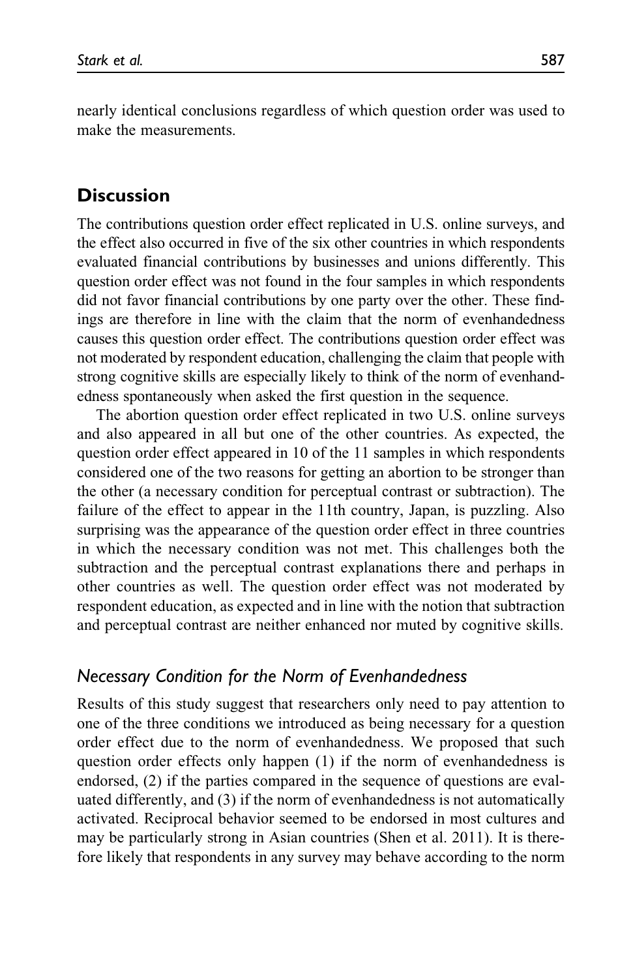nearly identical conclusions regardless of which question order was used to make the measurements.

## **Discussion**

The contributions question order effect replicated in U.S. online surveys, and the effect also occurred in five of the six other countries in which respondents evaluated financial contributions by businesses and unions differently. This question order effect was not found in the four samples in which respondents did not favor financial contributions by one party over the other. These findings are therefore in line with the claim that the norm of evenhandedness causes this question order effect. The contributions question order effect was not moderated by respondent education, challenging the claim that people with strong cognitive skills are especially likely to think of the norm of evenhandedness spontaneously when asked the first question in the sequence.

The abortion question order effect replicated in two U.S. online surveys and also appeared in all but one of the other countries. As expected, the question order effect appeared in 10 of the 11 samples in which respondents considered one of the two reasons for getting an abortion to be stronger than the other (a necessary condition for perceptual contrast or subtraction). The failure of the effect to appear in the 11th country, Japan, is puzzling. Also surprising was the appearance of the question order effect in three countries in which the necessary condition was not met. This challenges both the subtraction and the perceptual contrast explanations there and perhaps in other countries as well. The question order effect was not moderated by respondent education, as expected and in line with the notion that subtraction and perceptual contrast are neither enhanced nor muted by cognitive skills.

## Necessary Condition for the Norm of Evenhandedness

Results of this study suggest that researchers only need to pay attention to one of the three conditions we introduced as being necessary for a question order effect due to the norm of evenhandedness. We proposed that such question order effects only happen (1) if the norm of evenhandedness is endorsed, (2) if the parties compared in the sequence of questions are evaluated differently, and (3) if the norm of evenhandedness is not automatically activated. Reciprocal behavior seemed to be endorsed in most cultures and may be particularly strong in Asian countries (Shen et al. 2011). It is therefore likely that respondents in any survey may behave according to the norm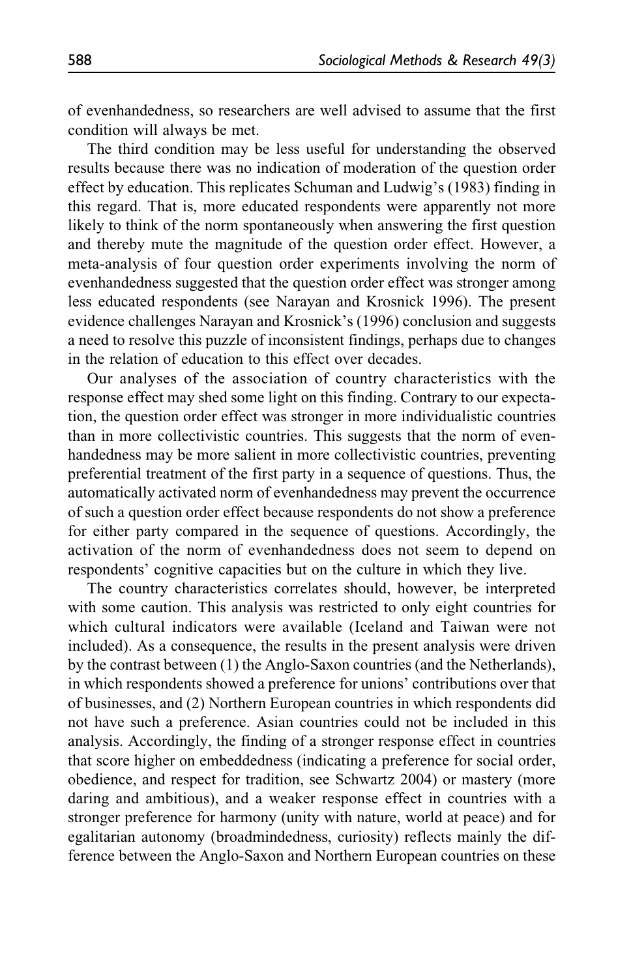of evenhandedness, so researchers are well advised to assume that the first condition will always be met.

The third condition may be less useful for understanding the observed results because there was no indication of moderation of the question order effect by education. This replicates Schuman and Ludwig's (1983) finding in this regard. That is, more educated respondents were apparently not more likely to think of the norm spontaneously when answering the first question and thereby mute the magnitude of the question order effect. However, a meta-analysis of four question order experiments involving the norm of evenhandedness suggested that the question order effect was stronger among less educated respondents (see Narayan and Krosnick 1996). The present evidence challenges Narayan and Krosnick's (1996) conclusion and suggests a need to resolve this puzzle of inconsistent findings, perhaps due to changes in the relation of education to this effect over decades.

Our analyses of the association of country characteristics with the response effect may shed some light on this finding. Contrary to our expectation, the question order effect was stronger in more individualistic countries than in more collectivistic countries. This suggests that the norm of evenhandedness may be more salient in more collectivistic countries, preventing preferential treatment of the first party in a sequence of questions. Thus, the automatically activated norm of evenhandedness may prevent the occurrence of such a question order effect because respondents do not show a preference for either party compared in the sequence of questions. Accordingly, the activation of the norm of evenhandedness does not seem to depend on respondents' cognitive capacities but on the culture in which they live.

The country characteristics correlates should, however, be interpreted with some caution. This analysis was restricted to only eight countries for which cultural indicators were available (Iceland and Taiwan were not included). As a consequence, the results in the present analysis were driven by the contrast between (1) the Anglo-Saxon countries (and the Netherlands), in which respondents showed a preference for unions' contributions over that of businesses, and (2) Northern European countries in which respondents did not have such a preference. Asian countries could not be included in this analysis. Accordingly, the finding of a stronger response effect in countries that score higher on embeddedness (indicating a preference for social order, obedience, and respect for tradition, see Schwartz 2004) or mastery (more daring and ambitious), and a weaker response effect in countries with a stronger preference for harmony (unity with nature, world at peace) and for egalitarian autonomy (broadmindedness, curiosity) reflects mainly the difference between the Anglo-Saxon and Northern European countries on these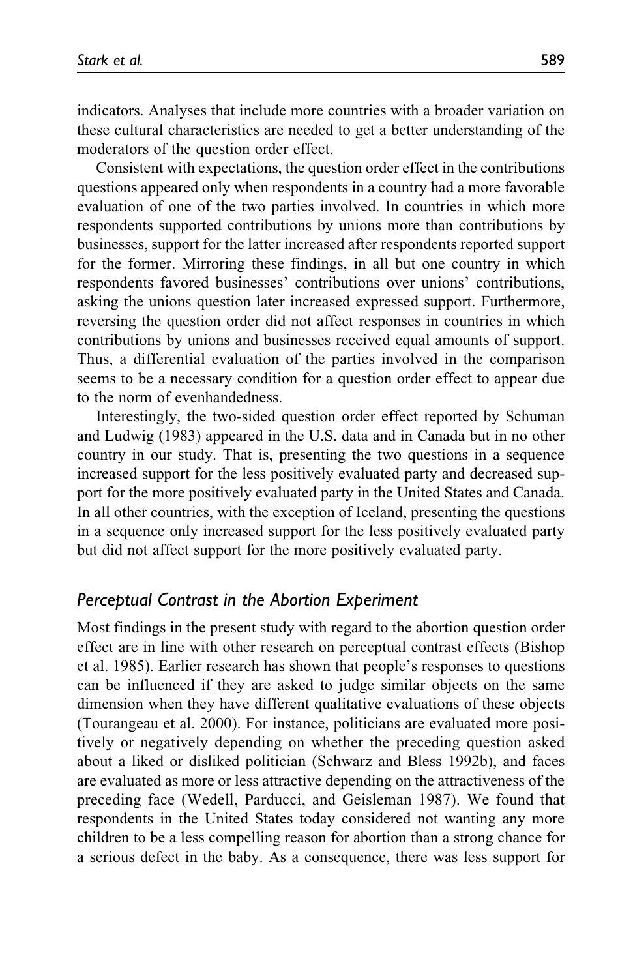indicators. Analyses that include more countries with a broader variation on these cultural characteristics are needed to get a better understanding of the moderators of the question order effect.

Consistent with expectations, the question order effect in the contributions questions appeared only when respondents in a country had a more favorable evaluation of one of the two parties involved. In countries in which more respondents supported contributions by unions more than contributions by businesses, support for the latter increased after respondents reported support for the former. Mirroring these findings, in all but one country in which respondents favored businesses' contributions over unions' contributions, asking the unions question later increased expressed support. Furthermore, reversing the question order did not affect responses in countries in which contributions by unions and businesses received equal amounts of support. Thus, a differential evaluation of the parties involved in the comparison seems to be a necessary condition for a question order effect to appear due to the norm of evenhandedness.

Interestingly, the two-sided question order effect reported by Schuman and Ludwig (1983) appeared in the U.S. data and in Canada but in no other country in our study. That is, presenting the two questions in a sequence increased support for the less positively evaluated party and decreased support for the more positively evaluated party in the United States and Canada. In all other countries, with the exception of Iceland, presenting the questions in a sequence only increased support for the less positively evaluated party but did not affect support for the more positively evaluated party.

#### Perceptual Contrast in the Abortion Experiment

Most findings in the present study with regard to the abortion question order effect are in line with other research on perceptual contrast effects (Bishop et al. 1985). Earlier research has shown that people's responses to questions can be influenced if they are asked to judge similar objects on the same dimension when they have different qualitative evaluations of these objects (Tourangeau et al. 2000). For instance, politicians are evaluated more positively or negatively depending on whether the preceding question asked about a liked or disliked politician (Schwarz and Bless 1992b), and faces are evaluated as more or less attractive depending on the attractiveness of the preceding face (Wedell, Parducci, and Geisleman 1987). We found that respondents in the United States today considered not wanting any more children to be a less compelling reason for abortion than a strong chance for a serious defect in the baby. As a consequence, there was less support for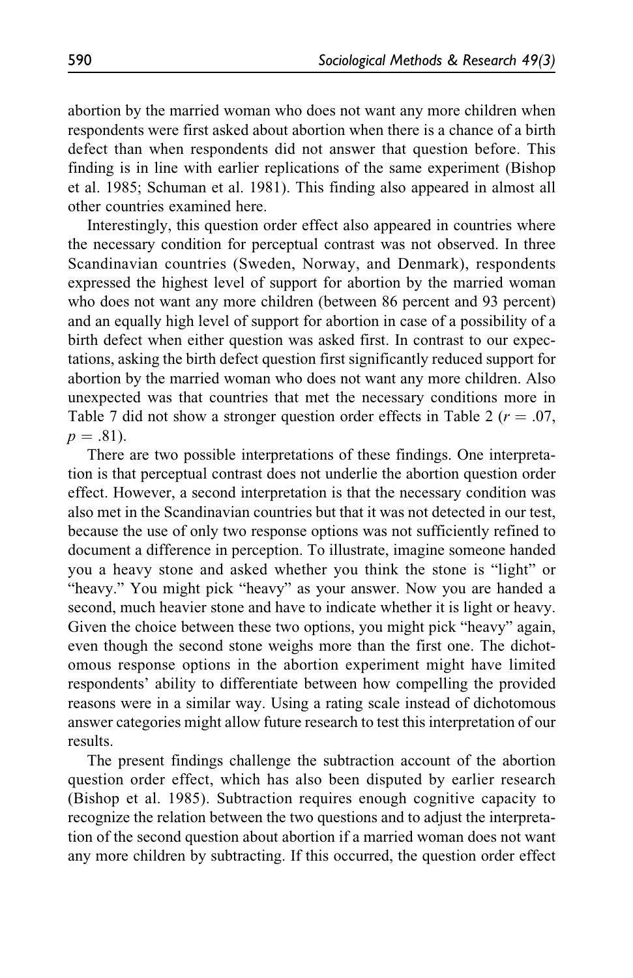abortion by the married woman who does not want any more children when respondents were first asked about abortion when there is a chance of a birth defect than when respondents did not answer that question before. This finding is in line with earlier replications of the same experiment (Bishop et al. 1985; Schuman et al. 1981). This finding also appeared in almost all other countries examined here.

Interestingly, this question order effect also appeared in countries where the necessary condition for perceptual contrast was not observed. In three Scandinavian countries (Sweden, Norway, and Denmark), respondents expressed the highest level of support for abortion by the married woman who does not want any more children (between 86 percent and 93 percent) and an equally high level of support for abortion in case of a possibility of a birth defect when either question was asked first. In contrast to our expectations, asking the birth defect question first significantly reduced support for abortion by the married woman who does not want any more children. Also unexpected was that countries that met the necessary conditions more in Table 7 did not show a stronger question order effects in Table 2 ( $r = .07$ ,  $p = .81$ ).

There are two possible interpretations of these findings. One interpretation is that perceptual contrast does not underlie the abortion question order effect. However, a second interpretation is that the necessary condition was also met in the Scandinavian countries but that it was not detected in our test, because the use of only two response options was not sufficiently refined to document a difference in perception. To illustrate, imagine someone handed you a heavy stone and asked whether you think the stone is "light" or "heavy." You might pick "heavy" as your answer. Now you are handed a second, much heavier stone and have to indicate whether it is light or heavy. Given the choice between these two options, you might pick "heavy" again, even though the second stone weighs more than the first one. The dichotomous response options in the abortion experiment might have limited respondents' ability to differentiate between how compelling the provided reasons were in a similar way. Using a rating scale instead of dichotomous answer categories might allow future research to test this interpretation of our results.

The present findings challenge the subtraction account of the abortion question order effect, which has also been disputed by earlier research (Bishop et al. 1985). Subtraction requires enough cognitive capacity to recognize the relation between the two questions and to adjust the interpretation of the second question about abortion if a married woman does not want any more children by subtracting. If this occurred, the question order effect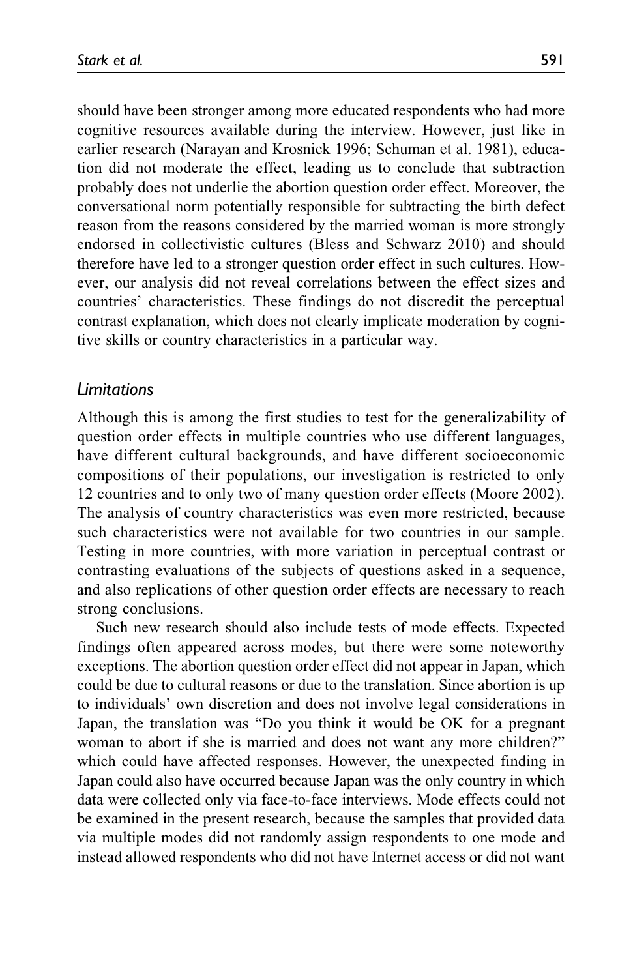should have been stronger among more educated respondents who had more cognitive resources available during the interview. However, just like in earlier research (Narayan and Krosnick 1996; Schuman et al. 1981), education did not moderate the effect, leading us to conclude that subtraction probably does not underlie the abortion question order effect. Moreover, the conversational norm potentially responsible for subtracting the birth defect reason from the reasons considered by the married woman is more strongly endorsed in collectivistic cultures (Bless and Schwarz 2010) and should therefore have led to a stronger question order effect in such cultures. However, our analysis did not reveal correlations between the effect sizes and countries' characteristics. These findings do not discredit the perceptual contrast explanation, which does not clearly implicate moderation by cognitive skills or country characteristics in a particular way.

#### Limitations

Although this is among the first studies to test for the generalizability of question order effects in multiple countries who use different languages, have different cultural backgrounds, and have different socioeconomic compositions of their populations, our investigation is restricted to only 12 countries and to only two of many question order effects (Moore 2002). The analysis of country characteristics was even more restricted, because such characteristics were not available for two countries in our sample. Testing in more countries, with more variation in perceptual contrast or contrasting evaluations of the subjects of questions asked in a sequence, and also replications of other question order effects are necessary to reach strong conclusions.

Such new research should also include tests of mode effects. Expected findings often appeared across modes, but there were some noteworthy exceptions. The abortion question order effect did not appear in Japan, which could be due to cultural reasons or due to the translation. Since abortion is up to individuals' own discretion and does not involve legal considerations in Japan, the translation was "Do you think it would be OK for a pregnant woman to abort if she is married and does not want any more children?" which could have affected responses. However, the unexpected finding in Japan could also have occurred because Japan was the only country in which data were collected only via face-to-face interviews. Mode effects could not be examined in the present research, because the samples that provided data via multiple modes did not randomly assign respondents to one mode and instead allowed respondents who did not have Internet access or did not want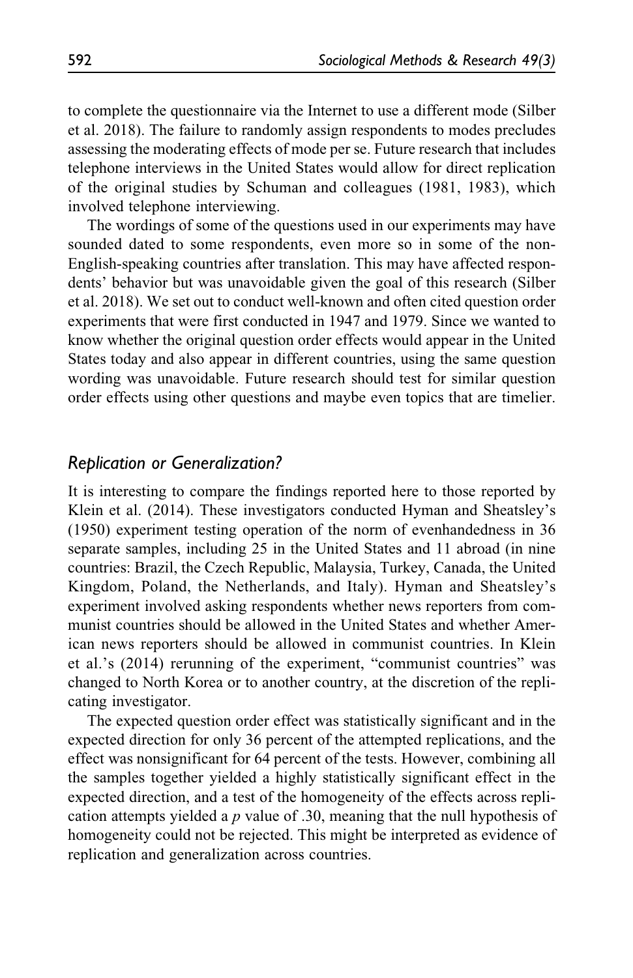to complete the questionnaire via the Internet to use a different mode (Silber et al. 2018). The failure to randomly assign respondents to modes precludes assessing the moderating effects of mode per se. Future research that includes telephone interviews in the United States would allow for direct replication of the original studies by Schuman and colleagues (1981, 1983), which involved telephone interviewing.

The wordings of some of the questions used in our experiments may have sounded dated to some respondents, even more so in some of the non-English-speaking countries after translation. This may have affected respondents' behavior but was unavoidable given the goal of this research (Silber et al. 2018). We set out to conduct well-known and often cited question order experiments that were first conducted in 1947 and 1979. Since we wanted to know whether the original question order effects would appear in the United States today and also appear in different countries, using the same question wording was unavoidable. Future research should test for similar question order effects using other questions and maybe even topics that are timelier.

#### Replication or Generalization?

It is interesting to compare the findings reported here to those reported by Klein et al. (2014). These investigators conducted Hyman and Sheatsley's (1950) experiment testing operation of the norm of evenhandedness in 36 separate samples, including 25 in the United States and 11 abroad (in nine countries: Brazil, the Czech Republic, Malaysia, Turkey, Canada, the United Kingdom, Poland, the Netherlands, and Italy). Hyman and Sheatsley's experiment involved asking respondents whether news reporters from communist countries should be allowed in the United States and whether American news reporters should be allowed in communist countries. In Klein et al.'s (2014) rerunning of the experiment, "communist countries" was changed to North Korea or to another country, at the discretion of the replicating investigator.

The expected question order effect was statistically significant and in the expected direction for only 36 percent of the attempted replications, and the effect was nonsignificant for 64 percent of the tests. However, combining all the samples together yielded a highly statistically significant effect in the expected direction, and a test of the homogeneity of the effects across replication attempts yielded a p value of .30, meaning that the null hypothesis of homogeneity could not be rejected. This might be interpreted as evidence of replication and generalization across countries.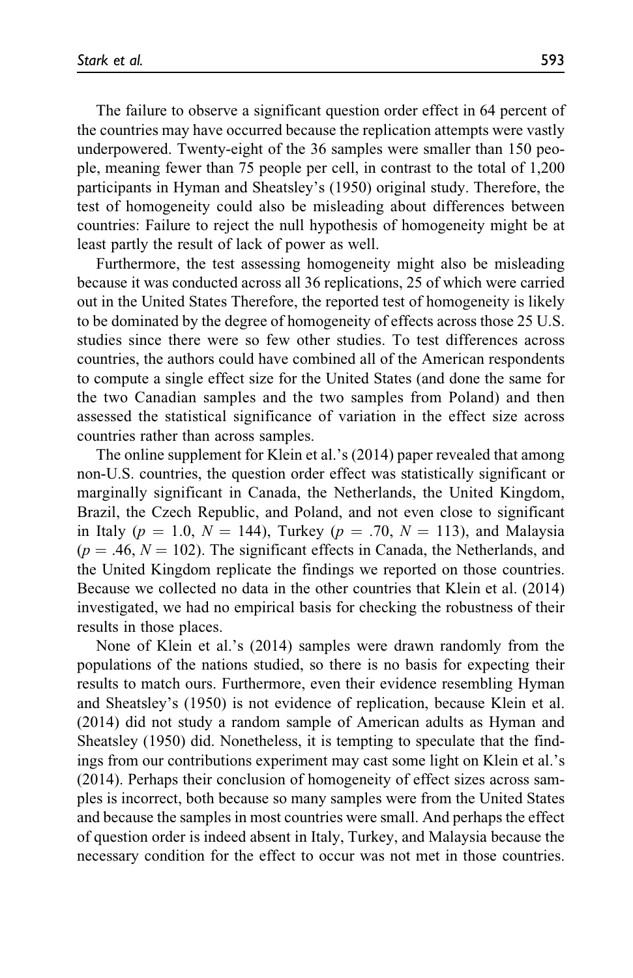The failure to observe a significant question order effect in 64 percent of the countries may have occurred because the replication attempts were vastly underpowered. Twenty-eight of the 36 samples were smaller than 150 people, meaning fewer than 75 people per cell, in contrast to the total of 1,200 participants in Hyman and Sheatsley's (1950) original study. Therefore, the test of homogeneity could also be misleading about differences between countries: Failure to reject the null hypothesis of homogeneity might be at least partly the result of lack of power as well.

Furthermore, the test assessing homogeneity might also be misleading because it was conducted across all 36 replications, 25 of which were carried out in the United States Therefore, the reported test of homogeneity is likely to be dominated by the degree of homogeneity of effects across those 25 U.S. studies since there were so few other studies. To test differences across countries, the authors could have combined all of the American respondents to compute a single effect size for the United States (and done the same for the two Canadian samples and the two samples from Poland) and then assessed the statistical significance of variation in the effect size across countries rather than across samples.

The online supplement for Klein et al.'s (2014) paper revealed that among non-U.S. countries, the question order effect was statistically significant or marginally significant in Canada, the Netherlands, the United Kingdom, Brazil, the Czech Republic, and Poland, and not even close to significant in Italy ( $p = 1.0$ ,  $N = 144$ ), Turkey ( $p = .70$ ,  $N = 113$ ), and Malaysia  $(p = .46, N = 102)$ . The significant effects in Canada, the Netherlands, and the United Kingdom replicate the findings we reported on those countries. Because we collected no data in the other countries that Klein et al. (2014) investigated, we had no empirical basis for checking the robustness of their results in those places.

None of Klein et al.'s (2014) samples were drawn randomly from the populations of the nations studied, so there is no basis for expecting their results to match ours. Furthermore, even their evidence resembling Hyman and Sheatsley's (1950) is not evidence of replication, because Klein et al. (2014) did not study a random sample of American adults as Hyman and Sheatsley (1950) did. Nonetheless, it is tempting to speculate that the findings from our contributions experiment may cast some light on Klein et al.'s (2014). Perhaps their conclusion of homogeneity of effect sizes across samples is incorrect, both because so many samples were from the United States and because the samples in most countries were small. And perhaps the effect of question order is indeed absent in Italy, Turkey, and Malaysia because the necessary condition for the effect to occur was not met in those countries.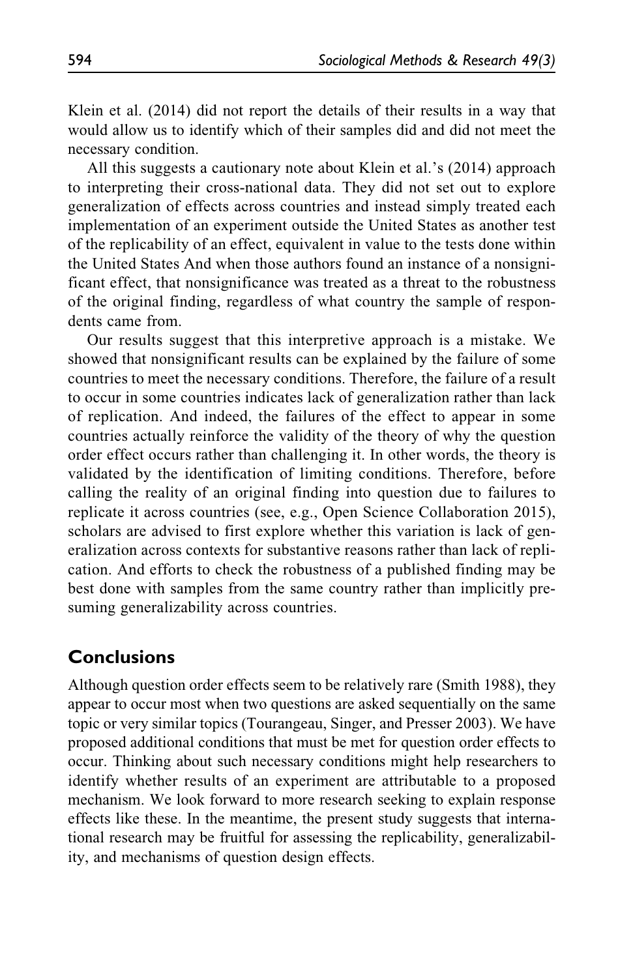Klein et al. (2014) did not report the details of their results in a way that would allow us to identify which of their samples did and did not meet the necessary condition.

All this suggests a cautionary note about Klein et al.'s (2014) approach to interpreting their cross-national data. They did not set out to explore generalization of effects across countries and instead simply treated each implementation of an experiment outside the United States as another test of the replicability of an effect, equivalent in value to the tests done within the United States And when those authors found an instance of a nonsignificant effect, that nonsignificance was treated as a threat to the robustness of the original finding, regardless of what country the sample of respondents came from.

Our results suggest that this interpretive approach is a mistake. We showed that nonsignificant results can be explained by the failure of some countries to meet the necessary conditions. Therefore, the failure of a result to occur in some countries indicates lack of generalization rather than lack of replication. And indeed, the failures of the effect to appear in some countries actually reinforce the validity of the theory of why the question order effect occurs rather than challenging it. In other words, the theory is validated by the identification of limiting conditions. Therefore, before calling the reality of an original finding into question due to failures to replicate it across countries (see, e.g., Open Science Collaboration 2015), scholars are advised to first explore whether this variation is lack of generalization across contexts for substantive reasons rather than lack of replication. And efforts to check the robustness of a published finding may be best done with samples from the same country rather than implicitly presuming generalizability across countries.

## Conclusions

Although question order effects seem to be relatively rare (Smith 1988), they appear to occur most when two questions are asked sequentially on the same topic or very similar topics (Tourangeau, Singer, and Presser 2003). We have proposed additional conditions that must be met for question order effects to occur. Thinking about such necessary conditions might help researchers to identify whether results of an experiment are attributable to a proposed mechanism. We look forward to more research seeking to explain response effects like these. In the meantime, the present study suggests that international research may be fruitful for assessing the replicability, generalizability, and mechanisms of question design effects.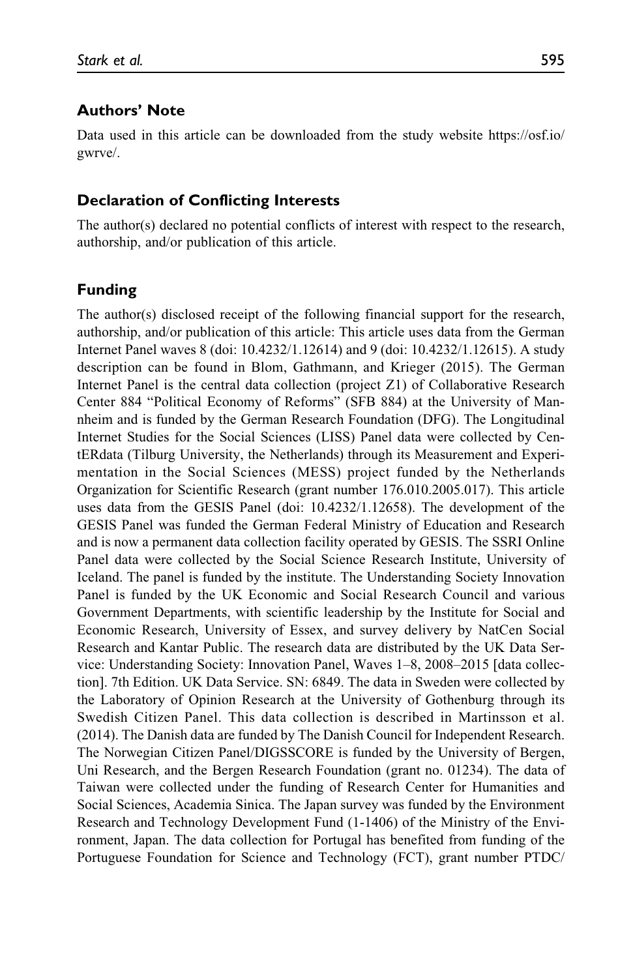#### Authors' Note

Data used in this article can be downloaded from the study website [https://osf.io/](https://osf.io/gwrve/) [gwrve/](https://osf.io/gwrve/).

#### Declaration of Conflicting Interests

The author(s) declared no potential conflicts of interest with respect to the research, authorship, and/or publication of this article.

#### Funding

The author(s) disclosed receipt of the following financial support for the research, authorship, and/or publication of this article: This article uses data from the German Internet Panel waves 8 (doi: 10.4232/1.12614) and 9 (doi: 10.4232/1.12615). A study description can be found in Blom, Gathmann, and Krieger (2015). The German Internet Panel is the central data collection (project Z1) of Collaborative Research Center 884 "Political Economy of Reforms" (SFB 884) at the University of Mannheim and is funded by the German Research Foundation (DFG). The Longitudinal Internet Studies for the Social Sciences (LISS) Panel data were collected by CentERdata (Tilburg University, the Netherlands) through its Measurement and Experimentation in the Social Sciences (MESS) project funded by the Netherlands Organization for Scientific Research (grant number 176.010.2005.017). This article uses data from the GESIS Panel (doi: 10.4232/1.12658). The development of the GESIS Panel was funded the German Federal Ministry of Education and Research and is now a permanent data collection facility operated by GESIS. The SSRI Online Panel data were collected by the Social Science Research Institute, University of Iceland. The panel is funded by the institute. The Understanding Society Innovation Panel is funded by the UK Economic and Social Research Council and various Government Departments, with scientific leadership by the Institute for Social and Economic Research, University of Essex, and survey delivery by NatCen Social Research and Kantar Public. The research data are distributed by the UK Data Service: Understanding Society: Innovation Panel, Waves 1–8, 2008–2015 [data collection]. 7th Edition. UK Data Service. SN: 6849. The data in Sweden were collected by the Laboratory of Opinion Research at the University of Gothenburg through its Swedish Citizen Panel. This data collection is described in Martinsson et al. (2014). The Danish data are funded by The Danish Council for Independent Research. The Norwegian Citizen Panel/DIGSSCORE is funded by the University of Bergen, Uni Research, and the Bergen Research Foundation (grant no. 01234). The data of Taiwan were collected under the funding of Research Center for Humanities and Social Sciences, Academia Sinica. The Japan survey was funded by the Environment Research and Technology Development Fund (1-1406) of the Ministry of the Environment, Japan. The data collection for Portugal has benefited from funding of the Portuguese Foundation for Science and Technology (FCT), grant number PTDC/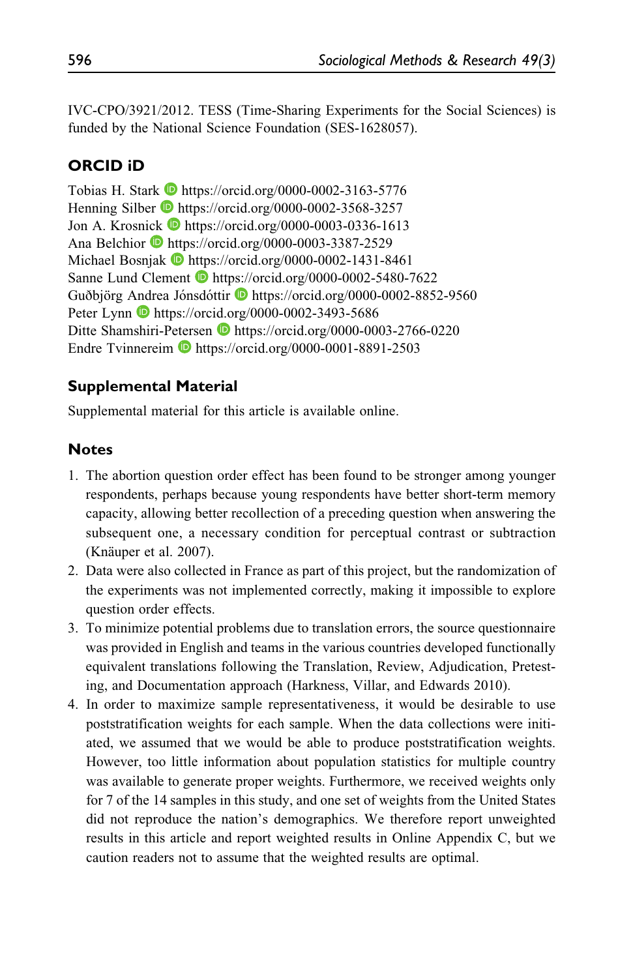IVC-CPO/3921/2012. TESS (Time-Sharing Experiments for the Social Sciences) is funded by the National Science Foundation (SES-1628057).

## ORCID iD

Tobias H. Stark **<https://orcid.org/0000-0002-3163-5776>** Henning Silber <https://orcid.org/0000-0002-3568-3257> Jon A. Krosnick **<https://orcid.org/0000-0003-0336-1613>** Ana Belchior **b** <https://orcid.org/0000-0003-3387-2529> Michael Bosnjak <https://orcid.org/0000-0002-1431-8461> Sanne Lund Clement **b** <https://orcid.org/0000-0002-5480-7622> Guðbjörg Andrea Jónsdóttir D<https://orcid.org/0000-0002-8852-9560> Peter Lynn **D** <https://orcid.org/0000-0002-3493-5686> Ditte Shamshiri-Petersen <https://orcid.org/0000-0003-2766-0220> Endre Tvinnereim  $\bullet$  <https://orcid.org/0000-0001-8891-2503>

#### Supplemental Material

Supplemental material for this article is available online.

#### **Notes**

- 1. The abortion question order effect has been found to be stronger among younger respondents, perhaps because young respondents have better short-term memory capacity, allowing better recollection of a preceding question when answering the subsequent one, a necessary condition for perceptual contrast or subtraction (Knäuper et al. 2007).
- 2. Data were also collected in France as part of this project, but the randomization of the experiments was not implemented correctly, making it impossible to explore question order effects.
- 3. To minimize potential problems due to translation errors, the source questionnaire was provided in English and teams in the various countries developed functionally equivalent translations following the Translation, Review, Adjudication, Pretesting, and Documentation approach (Harkness, Villar, and Edwards 2010).
- 4. In order to maximize sample representativeness, it would be desirable to use poststratification weights for each sample. When the data collections were initiated, we assumed that we would be able to produce poststratification weights. However, too little information about population statistics for multiple country was available to generate proper weights. Furthermore, we received weights only for 7 of the 14 samples in this study, and one set of weights from the United States did not reproduce the nation's demographics. We therefore report unweighted results in this article and report weighted results in Online Appendix C, but we caution readers not to assume that the weighted results are optimal.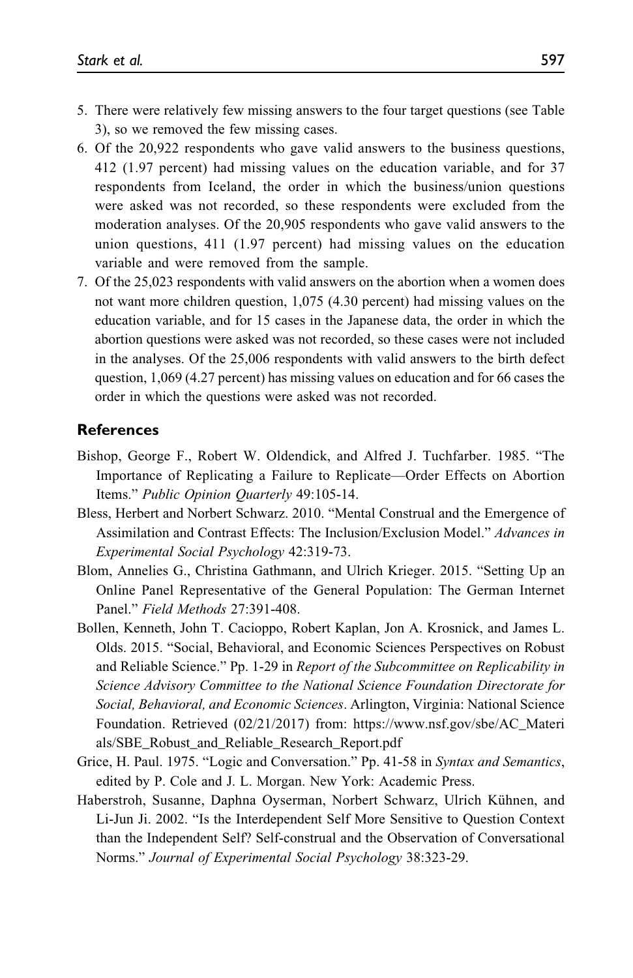- 5. There were relatively few missing answers to the four target questions (see Table 3), so we removed the few missing cases.
- 6. Of the 20,922 respondents who gave valid answers to the business questions, 412 (1.97 percent) had missing values on the education variable, and for 37 respondents from Iceland, the order in which the business/union questions were asked was not recorded, so these respondents were excluded from the moderation analyses. Of the 20,905 respondents who gave valid answers to the union questions, 411 (1.97 percent) had missing values on the education variable and were removed from the sample.
- 7. Of the 25,023 respondents with valid answers on the abortion when a women does not want more children question, 1,075 (4.30 percent) had missing values on the education variable, and for 15 cases in the Japanese data, the order in which the abortion questions were asked was not recorded, so these cases were not included in the analyses. Of the 25,006 respondents with valid answers to the birth defect question, 1,069 (4.27 percent) has missing values on education and for 66 cases the order in which the questions were asked was not recorded.

#### **References**

- Bishop, George F., Robert W. Oldendick, and Alfred J. Tuchfarber. 1985. "The Importance of Replicating a Failure to Replicate—Order Effects on Abortion Items." Public Opinion Quarterly 49:105-14.
- Bless, Herbert and Norbert Schwarz. 2010. "Mental Construal and the Emergence of Assimilation and Contrast Effects: The Inclusion/Exclusion Model." Advances in Experimental Social Psychology 42:319-73.
- Blom, Annelies G., Christina Gathmann, and Ulrich Krieger. 2015. "Setting Up an Online Panel Representative of the General Population: The German Internet Panel." Field Methods 27:391-408.
- Bollen, Kenneth, John T. Cacioppo, Robert Kaplan, Jon A. Krosnick, and James L. Olds. 2015. "Social, Behavioral, and Economic Sciences Perspectives on Robust and Reliable Science." Pp. 1-29 in Report of the Subcommittee on Replicability in Science Advisory Committee to the National Science Foundation Directorate for Social, Behavioral, and Economic Sciences. Arlington, Virginia: National Science Foundation. Retrieved (02/21/2017) from: [https://www.nsf.gov/sbe/AC\\_Materi](https://www.nsf.gov/sbe/AC_Materials/SBE_Robust_and_Reliable_Research_Report.pdf) [als/SBE\\_Robust\\_and\\_Reliable\\_Research\\_Report.pdf](https://www.nsf.gov/sbe/AC_Materials/SBE_Robust_and_Reliable_Research_Report.pdf)
- Grice, H. Paul. 1975. "Logic and Conversation." Pp. 41-58 in Syntax and Semantics, edited by P. Cole and J. L. Morgan. New York: Academic Press.
- Haberstroh, Susanne, Daphna Oyserman, Norbert Schwarz, Ulrich Kühnen, and Li-Jun Ji. 2002. "Is the Interdependent Self More Sensitive to Question Context than the Independent Self? Self-construal and the Observation of Conversational Norms." Journal of Experimental Social Psychology 38:323-29.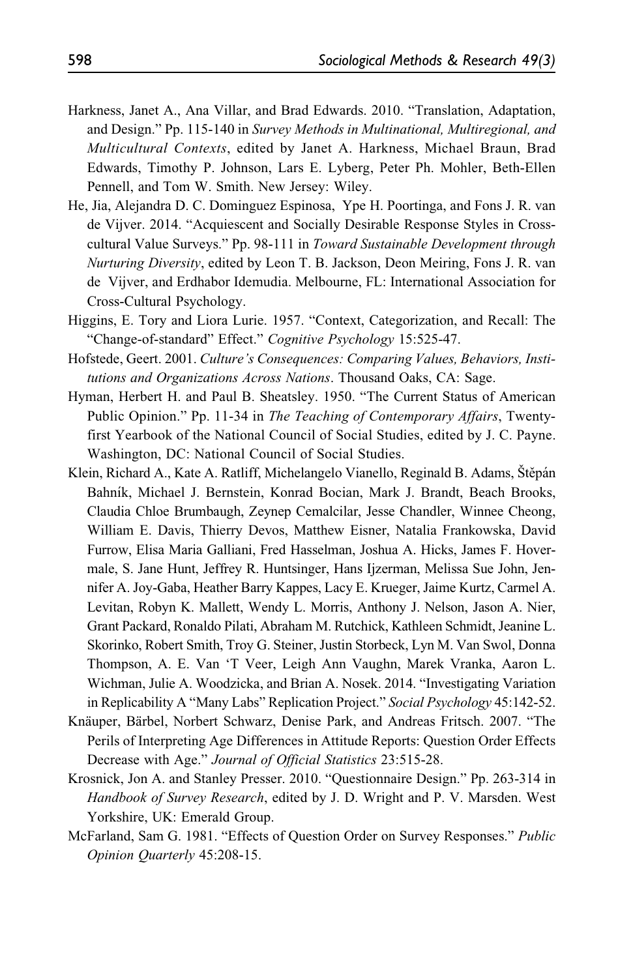- Harkness, Janet A., Ana Villar, and Brad Edwards. 2010. "Translation, Adaptation, and Design." Pp. 115-140 in Survey Methods in Multinational, Multiregional, and Multicultural Contexts, edited by Janet A. Harkness, Michael Braun, Brad Edwards, Timothy P. Johnson, Lars E. Lyberg, Peter Ph. Mohler, Beth-Ellen Pennell, and Tom W. Smith. New Jersey: Wiley.
- He, Jia, Alejandra D. C. Dominguez Espinosa, Ype H. Poortinga, and Fons J. R. van de Vijver. 2014. "Acquiescent and Socially Desirable Response Styles in Crosscultural Value Surveys." Pp. 98-111 in Toward Sustainable Development through Nurturing Diversity, edited by Leon T. B. Jackson, Deon Meiring, Fons J. R. van de Vijver, and Erdhabor Idemudia. Melbourne, FL: International Association for Cross-Cultural Psychology.
- Higgins, E. Tory and Liora Lurie. 1957. "Context, Categorization, and Recall: The "Change-of-standard" Effect." Cognitive Psychology 15:525-47.
- Hofstede, Geert. 2001. Culture's Consequences: Comparing Values, Behaviors, Institutions and Organizations Across Nations. Thousand Oaks, CA: Sage.
- Hyman, Herbert H. and Paul B. Sheatsley. 1950. "The Current Status of American Public Opinion." Pp. 11-34 in The Teaching of Contemporary Affairs, Twentyfirst Yearbook of the National Council of Social Studies, edited by J. C. Payne. Washington, DC: National Council of Social Studies.
- Klein, Richard A., Kate A. Ratliff, Michelangelo Vianello, Reginald B. Adams, Štěpán Bahnı´k, Michael J. Bernstein, Konrad Bocian, Mark J. Brandt, Beach Brooks, Claudia Chloe Brumbaugh, Zeynep Cemalcilar, Jesse Chandler, Winnee Cheong, William E. Davis, Thierry Devos, Matthew Eisner, Natalia Frankowska, David Furrow, Elisa Maria Galliani, Fred Hasselman, Joshua A. Hicks, James F. Hovermale, S. Jane Hunt, Jeffrey R. Huntsinger, Hans Ijzerman, Melissa Sue John, Jennifer A. Joy-Gaba, Heather Barry Kappes, Lacy E. Krueger, Jaime Kurtz, Carmel A. Levitan, Robyn K. Mallett, Wendy L. Morris, Anthony J. Nelson, Jason A. Nier, Grant Packard, Ronaldo Pilati, Abraham M. Rutchick, Kathleen Schmidt, Jeanine L. Skorinko, Robert Smith, Troy G. Steiner, Justin Storbeck, Lyn M. Van Swol, Donna Thompson, A. E. Van 'T Veer, Leigh Ann Vaughn, Marek Vranka, Aaron L. Wichman, Julie A. Woodzicka, and Brian A. Nosek. 2014. "Investigating Variation in Replicability A "Many Labs" Replication Project." Social Psychology 45:142-52.
- Knäuper, Bärbel, Norbert Schwarz, Denise Park, and Andreas Fritsch. 2007. "The Perils of Interpreting Age Differences in Attitude Reports: Question Order Effects Decrease with Age." Journal of Official Statistics 23:515-28.
- Krosnick, Jon A. and Stanley Presser. 2010. "Questionnaire Design." Pp. 263-314 in Handbook of Survey Research, edited by J. D. Wright and P. V. Marsden. West Yorkshire, UK: Emerald Group.
- McFarland, Sam G. 1981. "Effects of Question Order on Survey Responses." Public Opinion Quarterly 45:208-15.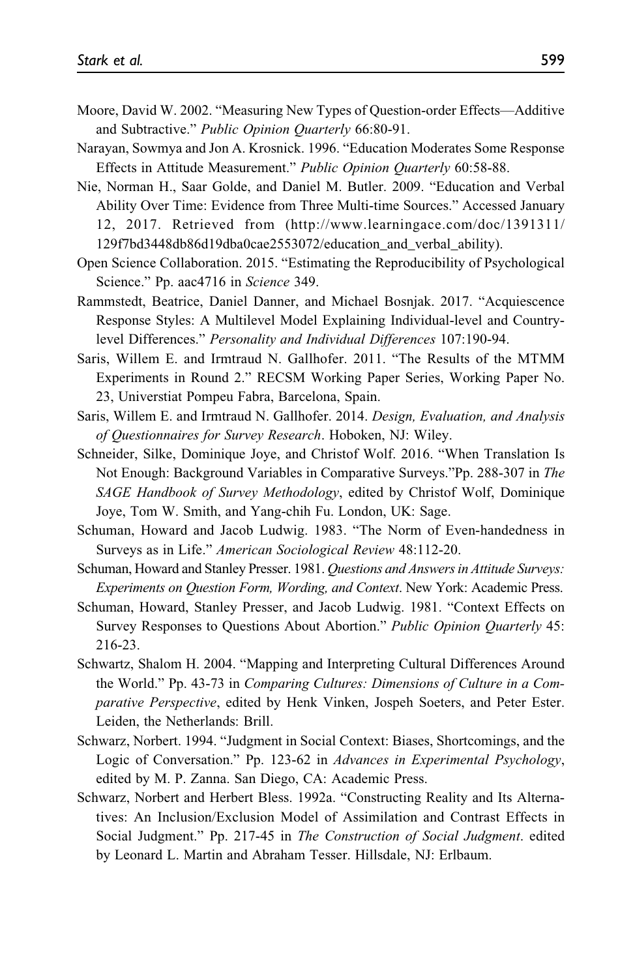- Moore, David W. 2002. "Measuring New Types of Question-order Effects—Additive and Subtractive." Public Opinion Quarterly 66:80-91.
- Narayan, Sowmya and Jon A. Krosnick. 1996. "Education Moderates Some Response Effects in Attitude Measurement." Public Opinion Quarterly 60:58-88.
- Nie, Norman H., Saar Golde, and Daniel M. Butler. 2009. "Education and Verbal Ability Over Time: Evidence from Three Multi-time Sources." Accessed January 12, 2017. Retrieved from ([http://www.learningace.com/doc/1391311/](http://www.learningace.com/doc/1391311/129f7bd3448db86d19dba0cae2553072/education_and_verbal_ability)) [129f7bd3448db86d19dba0cae2553072/education\\_and\\_verbal\\_ability\).](http://www.learningace.com/doc/1391311/129f7bd3448db86d19dba0cae2553072/education_and_verbal_ability))
- Open Science Collaboration. 2015. "Estimating the Reproducibility of Psychological Science." Pp. aac4716 in Science 349.
- Rammstedt, Beatrice, Daniel Danner, and Michael Bosnjak. 2017. "Acquiescence Response Styles: A Multilevel Model Explaining Individual-level and Countrylevel Differences." Personality and Individual Differences 107:190-94.
- Saris, Willem E. and Irmtraud N. Gallhofer. 2011. "The Results of the MTMM Experiments in Round 2." RECSM Working Paper Series, Working Paper No. 23, Universtiat Pompeu Fabra, Barcelona, Spain.
- Saris, Willem E. and Irmtraud N. Gallhofer. 2014. Design, Evaluation, and Analysis of Questionnaires for Survey Research. Hoboken, NJ: Wiley.
- Schneider, Silke, Dominique Joye, and Christof Wolf. 2016. "When Translation Is Not Enough: Background Variables in Comparative Surveys."Pp. 288-307 in The SAGE Handbook of Survey Methodology, edited by Christof Wolf, Dominique Joye, Tom W. Smith, and Yang-chih Fu. London, UK: Sage.
- Schuman, Howard and Jacob Ludwig. 1983. "The Norm of Even-handedness in Surveys as in Life." American Sociological Review 48:112-20.
- Schuman, Howard and Stanley Presser. 1981. Questions and Answers in Attitude Surveys: Experiments on Question Form, Wording, and Context. New York: Academic Press.
- Schuman, Howard, Stanley Presser, and Jacob Ludwig. 1981. "Context Effects on Survey Responses to Questions About Abortion." Public Opinion Quarterly 45: 216-23.
- Schwartz, Shalom H. 2004. "Mapping and Interpreting Cultural Differences Around the World." Pp. 43-73 in Comparing Cultures: Dimensions of Culture in a Comparative Perspective, edited by Henk Vinken, Jospeh Soeters, and Peter Ester. Leiden, the Netherlands: Brill.
- Schwarz, Norbert. 1994. "Judgment in Social Context: Biases, Shortcomings, and the Logic of Conversation." Pp. 123-62 in Advances in Experimental Psychology, edited by M. P. Zanna. San Diego, CA: Academic Press.
- Schwarz, Norbert and Herbert Bless. 1992a. "Constructing Reality and Its Alternatives: An Inclusion/Exclusion Model of Assimilation and Contrast Effects in Social Judgment." Pp. 217-45 in The Construction of Social Judgment. edited by Leonard L. Martin and Abraham Tesser. Hillsdale, NJ: Erlbaum.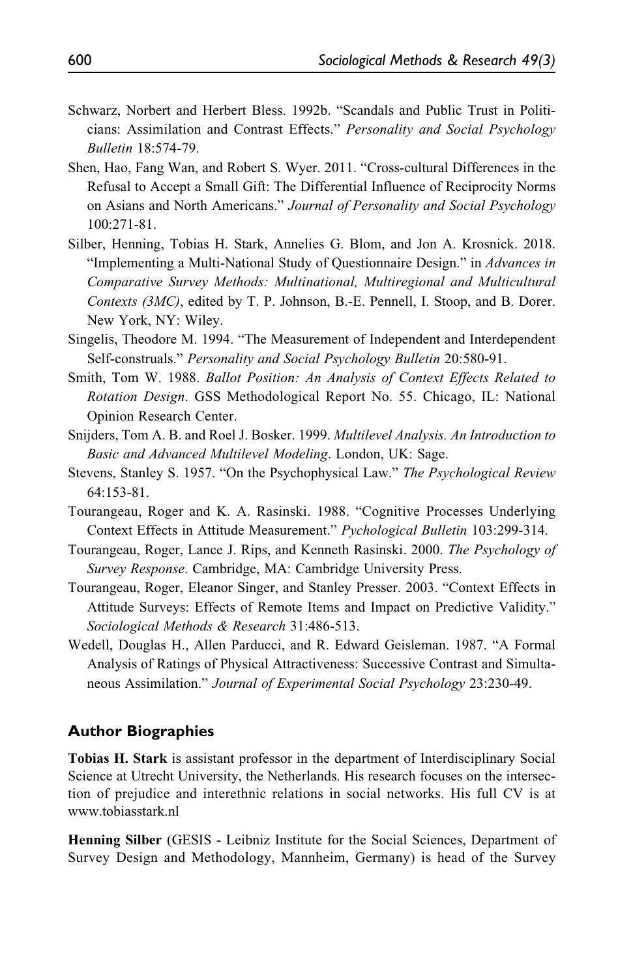- Schwarz, Norbert and Herbert Bless. 1992b. "Scandals and Public Trust in Politicians: Assimilation and Contrast Effects." Personality and Social Psychology Bulletin 18:574-79.
- Shen, Hao, Fang Wan, and Robert S. Wyer. 2011. "Cross-cultural Differences in the Refusal to Accept a Small Gift: The Differential Influence of Reciprocity Norms on Asians and North Americans." Journal of Personality and Social Psychology 100:271-81.
- Silber, Henning, Tobias H. Stark, Annelies G. Blom, and Jon A. Krosnick. 2018. "Implementing a Multi-National Study of Questionnaire Design." in Advances in Comparative Survey Methods: Multinational, Multiregional and Multicultural Contexts (3MC), edited by T. P. Johnson, B.-E. Pennell, I. Stoop, and B. Dorer. New York, NY: Wiley.
- Singelis, Theodore M. 1994. "The Measurement of Independent and Interdependent Self-construals." Personality and Social Psychology Bulletin 20:580-91.
- Smith, Tom W. 1988. Ballot Position: An Analysis of Context Effects Related to Rotation Design. GSS Methodological Report No. 55. Chicago, IL: National Opinion Research Center.
- Snijders, Tom A. B. and Roel J. Bosker. 1999. Multilevel Analysis. An Introduction to Basic and Advanced Multilevel Modeling. London, UK: Sage.
- Stevens, Stanley S. 1957. "On the Psychophysical Law." The Psychological Review 64:153-81.
- Tourangeau, Roger and K. A. Rasinski. 1988. "Cognitive Processes Underlying Context Effects in Attitude Measurement." Pychological Bulletin 103:299-314.
- Tourangeau, Roger, Lance J. Rips, and Kenneth Rasinski. 2000. The Psychology of Survey Response. Cambridge, MA: Cambridge University Press.
- Tourangeau, Roger, Eleanor Singer, and Stanley Presser. 2003. "Context Effects in Attitude Surveys: Effects of Remote Items and Impact on Predictive Validity." Sociological Methods & Research 31:486-513.
- Wedell, Douglas H., Allen Parducci, and R. Edward Geisleman. 1987. "A Formal Analysis of Ratings of Physical Attractiveness: Successive Contrast and Simultaneous Assimilation." Journal of Experimental Social Psychology 23:230-49.

#### Author Biographies

Tobias H. Stark is assistant professor in the department of Interdisciplinary Social Science at Utrecht University, the Netherlands. His research focuses on the intersection of prejudice and interethnic relations in social networks. His full CV is at www.tobiasstark.nl

Henning Silber (GESIS - Leibniz Institute for the Social Sciences, Department of Survey Design and Methodology, Mannheim, Germany) is head of the Survey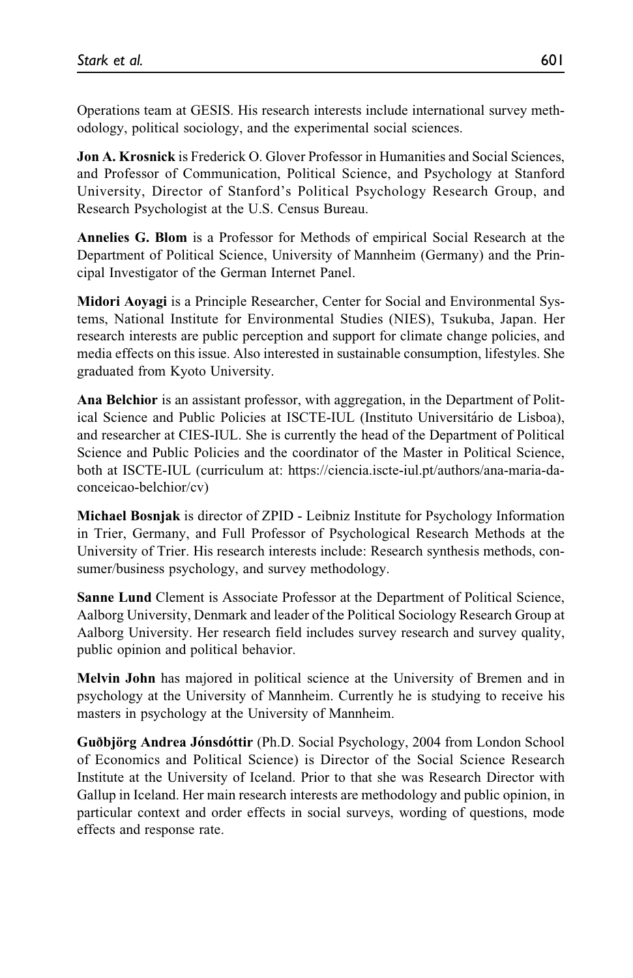Operations team at GESIS. His research interests include international survey methodology, political sociology, and the experimental social sciences.

Jon A. Krosnick is Frederick O. Glover Professor in Humanities and Social Sciences, and Professor of Communication, Political Science, and Psychology at Stanford University, Director of Stanford's Political Psychology Research Group, and Research Psychologist at the U.S. Census Bureau.

Annelies G. Blom is a Professor for Methods of empirical Social Research at the Department of Political Science, University of Mannheim (Germany) and the Principal Investigator of the German Internet Panel.

Midori Aoyagi is a Principle Researcher, Center for Social and Environmental Systems, National Institute for Environmental Studies (NIES), Tsukuba, Japan. Her research interests are public perception and support for climate change policies, and media effects on this issue. Also interested in sustainable consumption, lifestyles. She graduated from Kyoto University.

Ana Belchior is an assistant professor, with aggregation, in the Department of Political Science and Public Policies at ISCTE-IUL (Instituto Universita´rio de Lisboa), and researcher at CIES-IUL. She is currently the head of the Department of Political Science and Public Policies and the coordinator of the Master in Political Science, both at ISCTE-IUL (curriculum at: https://ciencia.iscte-iul.pt/authors/ana-maria-daconceicao-belchior/cv)

Michael Bosnjak is director of ZPID - Leibniz Institute for Psychology Information in Trier, Germany, and Full Professor of Psychological Research Methods at the University of Trier. His research interests include: Research synthesis methods, consumer/business psychology, and survey methodology.

Sanne Lund Clement is Associate Professor at the Department of Political Science, Aalborg University, Denmark and leader of the Political Sociology Research Group at Aalborg University. Her research field includes survey research and survey quality, public opinion and political behavior.

Melvin John has majored in political science at the University of Bremen and in psychology at the University of Mannheim. Currently he is studying to receive his masters in psychology at the University of Mannheim.

Guðbjörg Andrea Jónsdóttir (Ph.D. Social Psychology, 2004 from London School of Economics and Political Science) is Director of the Social Science Research Institute at the University of Iceland. Prior to that she was Research Director with Gallup in Iceland. Her main research interests are methodology and public opinion, in particular context and order effects in social surveys, wording of questions, mode effects and response rate.